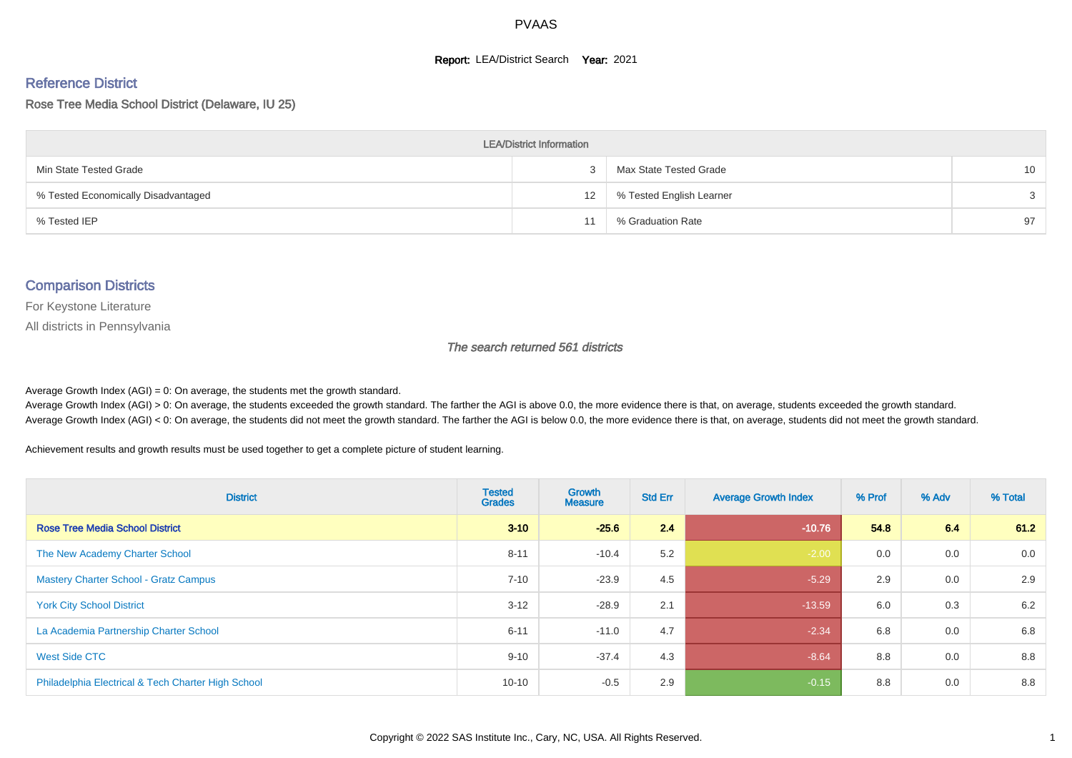#### **Report: LEA/District Search Year: 2021**

# Reference District

Rose Tree Media School District (Delaware, IU 25)

| <b>LEA/District Information</b>     |    |                          |                 |  |  |  |  |  |  |  |
|-------------------------------------|----|--------------------------|-----------------|--|--|--|--|--|--|--|
| Min State Tested Grade              |    | Max State Tested Grade   | 10 <sup>1</sup> |  |  |  |  |  |  |  |
| % Tested Economically Disadvantaged | 12 | % Tested English Learner | $\mathcal{S}$   |  |  |  |  |  |  |  |
| % Tested IEP                        |    | % Graduation Rate        | 97              |  |  |  |  |  |  |  |

#### Comparison Districts

For Keystone Literature

All districts in Pennsylvania

The search returned 561 districts

Average Growth Index  $(AGI) = 0$ : On average, the students met the growth standard.

Average Growth Index (AGI) > 0: On average, the students exceeded the growth standard. The farther the AGI is above 0.0, the more evidence there is that, on average, students exceeded the growth standard. Average Growth Index (AGI) < 0: On average, the students did not meet the growth standard. The farther the AGI is below 0.0, the more evidence there is that, on average, students did not meet the growth standard.

Achievement results and growth results must be used together to get a complete picture of student learning.

| <b>District</b>                                    | <b>Tested</b><br><b>Grades</b> | <b>Growth</b><br><b>Measure</b> | <b>Std Err</b> | <b>Average Growth Index</b> | % Prof | % Adv | % Total |
|----------------------------------------------------|--------------------------------|---------------------------------|----------------|-----------------------------|--------|-------|---------|
| <b>Rose Tree Media School District</b>             | $3 - 10$                       | $-25.6$                         | 2.4            | $-10.76$                    | 54.8   | 6.4   | 61.2    |
| The New Academy Charter School                     | $8 - 11$                       | $-10.4$                         | 5.2            | $-2.00$                     | 0.0    | 0.0   | 0.0     |
| <b>Mastery Charter School - Gratz Campus</b>       | $7 - 10$                       | $-23.9$                         | 4.5            | $-5.29$                     | 2.9    | 0.0   | 2.9     |
| <b>York City School District</b>                   | $3 - 12$                       | $-28.9$                         | 2.1            | $-13.59$                    | 6.0    | 0.3   | 6.2     |
| La Academia Partnership Charter School             | $6 - 11$                       | $-11.0$                         | 4.7            | $-2.34$                     | 6.8    | 0.0   | 6.8     |
| West Side CTC                                      | $9 - 10$                       | $-37.4$                         | 4.3            | $-8.64$                     | 8.8    | 0.0   | 8.8     |
| Philadelphia Electrical & Tech Charter High School | $10 - 10$                      | $-0.5$                          | 2.9            | $-0.15$                     | 8.8    | 0.0   | 8.8     |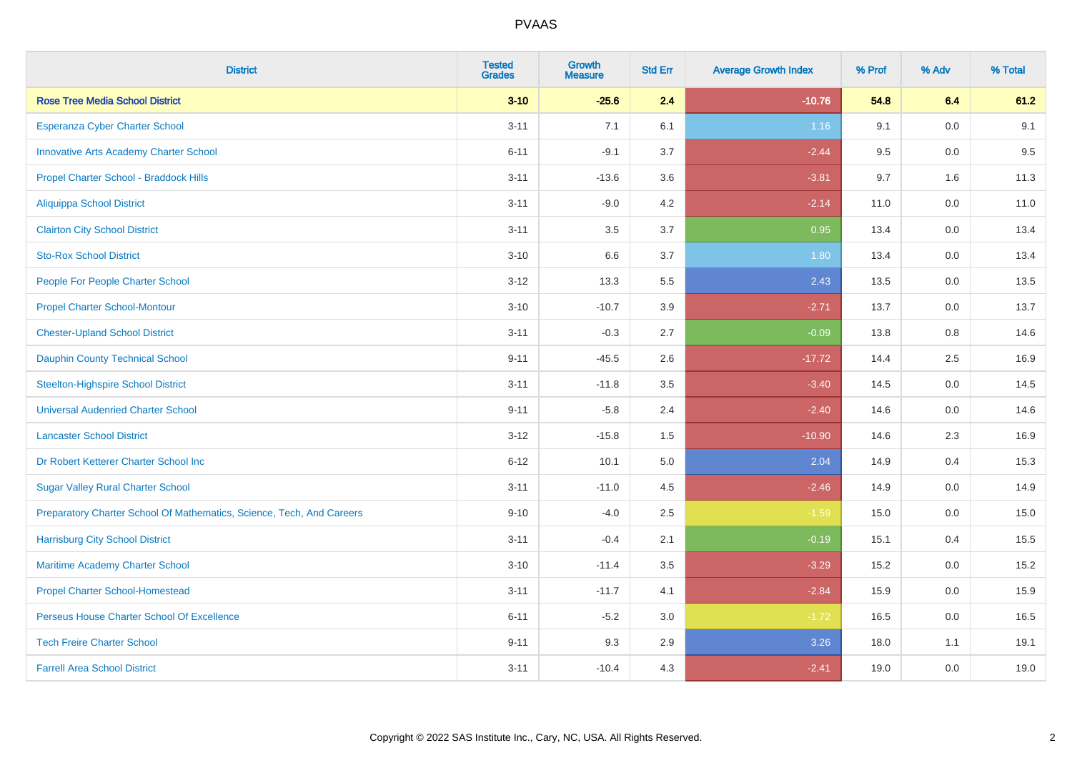| <b>District</b>                                                       | <b>Tested</b><br><b>Grades</b> | <b>Growth</b><br><b>Measure</b> | <b>Std Err</b> | <b>Average Growth Index</b> | % Prof | % Adv   | % Total |
|-----------------------------------------------------------------------|--------------------------------|---------------------------------|----------------|-----------------------------|--------|---------|---------|
| <b>Rose Tree Media School District</b>                                | $3 - 10$                       | $-25.6$                         | 2.4            | $-10.76$                    | 54.8   | 6.4     | 61.2    |
| Esperanza Cyber Charter School                                        | $3 - 11$                       | 7.1                             | 6.1            | 1.16                        | 9.1    | 0.0     | 9.1     |
| <b>Innovative Arts Academy Charter School</b>                         | $6 - 11$                       | $-9.1$                          | 3.7            | $-2.44$                     | 9.5    | 0.0     | 9.5     |
| Propel Charter School - Braddock Hills                                | $3 - 11$                       | $-13.6$                         | 3.6            | $-3.81$                     | 9.7    | 1.6     | 11.3    |
| <b>Aliquippa School District</b>                                      | $3 - 11$                       | $-9.0$                          | 4.2            | $-2.14$                     | 11.0   | 0.0     | 11.0    |
| <b>Clairton City School District</b>                                  | $3 - 11$                       | 3.5                             | 3.7            | 0.95                        | 13.4   | 0.0     | 13.4    |
| <b>Sto-Rox School District</b>                                        | $3 - 10$                       | 6.6                             | 3.7            | 1.80                        | 13.4   | 0.0     | 13.4    |
| People For People Charter School                                      | $3 - 12$                       | 13.3                            | 5.5            | 2.43                        | 13.5   | 0.0     | 13.5    |
| <b>Propel Charter School-Montour</b>                                  | $3 - 10$                       | $-10.7$                         | 3.9            | $-2.71$                     | 13.7   | 0.0     | 13.7    |
| <b>Chester-Upland School District</b>                                 | $3 - 11$                       | $-0.3$                          | 2.7            | $-0.09$                     | 13.8   | 0.8     | 14.6    |
| <b>Dauphin County Technical School</b>                                | $9 - 11$                       | $-45.5$                         | 2.6            | $-17.72$                    | 14.4   | $2.5\,$ | 16.9    |
| <b>Steelton-Highspire School District</b>                             | $3 - 11$                       | $-11.8$                         | 3.5            | $-3.40$                     | 14.5   | 0.0     | 14.5    |
| <b>Universal Audenried Charter School</b>                             | $9 - 11$                       | $-5.8$                          | 2.4            | $-2.40$                     | 14.6   | 0.0     | 14.6    |
| <b>Lancaster School District</b>                                      | $3 - 12$                       | $-15.8$                         | 1.5            | $-10.90$                    | 14.6   | 2.3     | 16.9    |
| Dr Robert Ketterer Charter School Inc                                 | $6 - 12$                       | 10.1                            | 5.0            | 2.04                        | 14.9   | 0.4     | 15.3    |
| <b>Sugar Valley Rural Charter School</b>                              | $3 - 11$                       | $-11.0$                         | 4.5            | $-2.46$                     | 14.9   | 0.0     | 14.9    |
| Preparatory Charter School Of Mathematics, Science, Tech, And Careers | $9 - 10$                       | $-4.0$                          | 2.5            | $-1.59$                     | 15.0   | $0.0\,$ | 15.0    |
| <b>Harrisburg City School District</b>                                | $3 - 11$                       | $-0.4$                          | 2.1            | $-0.19$                     | 15.1   | 0.4     | 15.5    |
| Maritime Academy Charter School                                       | $3 - 10$                       | $-11.4$                         | 3.5            | $-3.29$                     | 15.2   | 0.0     | 15.2    |
| <b>Propel Charter School-Homestead</b>                                | $3 - 11$                       | $-11.7$                         | 4.1            | $-2.84$                     | 15.9   | 0.0     | 15.9    |
| Perseus House Charter School Of Excellence                            | $6 - 11$                       | $-5.2$                          | 3.0            | $-1.72$                     | 16.5   | 0.0     | 16.5    |
| <b>Tech Freire Charter School</b>                                     | $9 - 11$                       | 9.3                             | 2.9            | 3.26                        | 18.0   | 1.1     | 19.1    |
| <b>Farrell Area School District</b>                                   | $3 - 11$                       | $-10.4$                         | 4.3            | $-2.41$                     | 19.0   | 0.0     | 19.0    |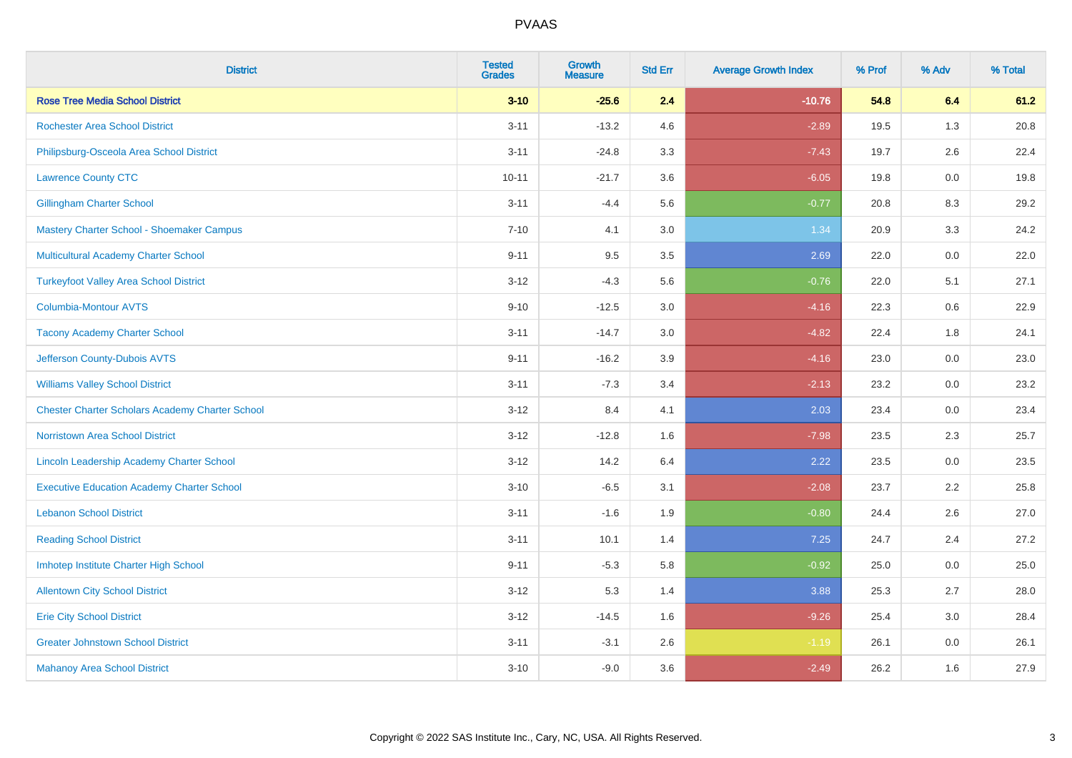| <b>District</b>                                        | <b>Tested</b><br><b>Grades</b> | <b>Growth</b><br><b>Measure</b> | <b>Std Err</b> | <b>Average Growth Index</b> | % Prof | % Adv   | % Total |
|--------------------------------------------------------|--------------------------------|---------------------------------|----------------|-----------------------------|--------|---------|---------|
| <b>Rose Tree Media School District</b>                 | $3 - 10$                       | $-25.6$                         | 2.4            | $-10.76$                    | 54.8   | 6.4     | 61.2    |
| <b>Rochester Area School District</b>                  | $3 - 11$                       | $-13.2$                         | 4.6            | $-2.89$                     | 19.5   | 1.3     | 20.8    |
| Philipsburg-Osceola Area School District               | $3 - 11$                       | $-24.8$                         | 3.3            | $-7.43$                     | 19.7   | 2.6     | 22.4    |
| <b>Lawrence County CTC</b>                             | $10 - 11$                      | $-21.7$                         | 3.6            | $-6.05$                     | 19.8   | $0.0\,$ | 19.8    |
| <b>Gillingham Charter School</b>                       | $3 - 11$                       | $-4.4$                          | 5.6            | $-0.77$                     | 20.8   | 8.3     | 29.2    |
| Mastery Charter School - Shoemaker Campus              | $7 - 10$                       | 4.1                             | 3.0            | 1.34                        | 20.9   | 3.3     | 24.2    |
| Multicultural Academy Charter School                   | $9 - 11$                       | 9.5                             | 3.5            | 2.69                        | 22.0   | $0.0\,$ | 22.0    |
| <b>Turkeyfoot Valley Area School District</b>          | $3 - 12$                       | $-4.3$                          | 5.6            | $-0.76$                     | 22.0   | 5.1     | 27.1    |
| <b>Columbia-Montour AVTS</b>                           | $9 - 10$                       | $-12.5$                         | 3.0            | $-4.16$                     | 22.3   | 0.6     | 22.9    |
| <b>Tacony Academy Charter School</b>                   | $3 - 11$                       | $-14.7$                         | 3.0            | $-4.82$                     | 22.4   | 1.8     | 24.1    |
| Jefferson County-Dubois AVTS                           | $9 - 11$                       | $-16.2$                         | 3.9            | $-4.16$                     | 23.0   | 0.0     | 23.0    |
| <b>Williams Valley School District</b>                 | $3 - 11$                       | $-7.3$                          | 3.4            | $-2.13$                     | 23.2   | 0.0     | 23.2    |
| <b>Chester Charter Scholars Academy Charter School</b> | $3 - 12$                       | 8.4                             | 4.1            | 2.03                        | 23.4   | $0.0\,$ | 23.4    |
| Norristown Area School District                        | $3 - 12$                       | $-12.8$                         | 1.6            | $-7.98$                     | 23.5   | 2.3     | 25.7    |
| Lincoln Leadership Academy Charter School              | $3 - 12$                       | 14.2                            | 6.4            | 2.22                        | 23.5   | 0.0     | 23.5    |
| <b>Executive Education Academy Charter School</b>      | $3 - 10$                       | $-6.5$                          | 3.1            | $-2.08$                     | 23.7   | 2.2     | 25.8    |
| <b>Lebanon School District</b>                         | $3 - 11$                       | $-1.6$                          | 1.9            | $-0.80$                     | 24.4   | 2.6     | 27.0    |
| <b>Reading School District</b>                         | $3 - 11$                       | 10.1                            | 1.4            | 7.25                        | 24.7   | 2.4     | 27.2    |
| Imhotep Institute Charter High School                  | $9 - 11$                       | $-5.3$                          | 5.8            | $-0.92$                     | 25.0   | 0.0     | 25.0    |
| <b>Allentown City School District</b>                  | $3 - 12$                       | 5.3                             | 1.4            | 3.88                        | 25.3   | 2.7     | 28.0    |
| <b>Erie City School District</b>                       | $3 - 12$                       | $-14.5$                         | 1.6            | $-9.26$                     | 25.4   | 3.0     | 28.4    |
| <b>Greater Johnstown School District</b>               | $3 - 11$                       | $-3.1$                          | 2.6            | $-1.19$                     | 26.1   | 0.0     | 26.1    |
| <b>Mahanoy Area School District</b>                    | $3 - 10$                       | $-9.0$                          | 3.6            | $-2.49$                     | 26.2   | 1.6     | 27.9    |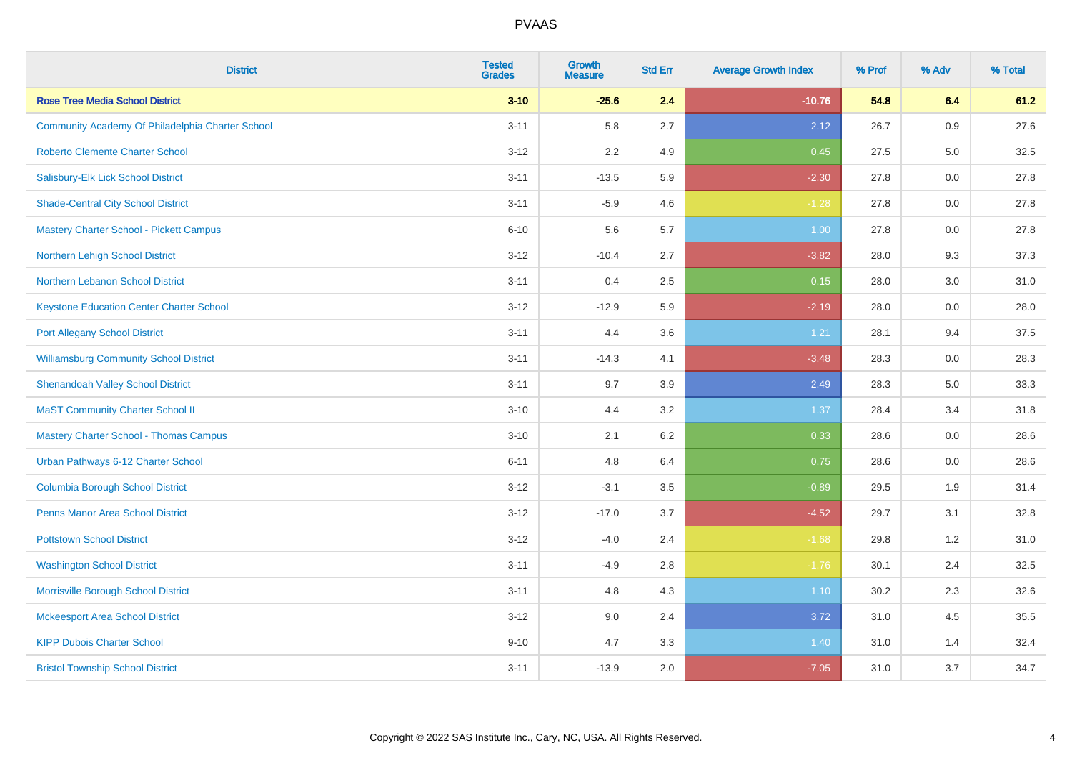| <b>District</b>                                  | <b>Tested</b><br><b>Grades</b> | <b>Growth</b><br><b>Measure</b> | <b>Std Err</b> | <b>Average Growth Index</b> | % Prof | % Adv   | % Total |
|--------------------------------------------------|--------------------------------|---------------------------------|----------------|-----------------------------|--------|---------|---------|
| <b>Rose Tree Media School District</b>           | $3 - 10$                       | $-25.6$                         | 2.4            | $-10.76$                    | 54.8   | 6.4     | 61.2    |
| Community Academy Of Philadelphia Charter School | $3 - 11$                       | 5.8                             | 2.7            | 2.12                        | 26.7   | 0.9     | 27.6    |
| <b>Roberto Clemente Charter School</b>           | $3 - 12$                       | 2.2                             | 4.9            | 0.45                        | 27.5   | $5.0\,$ | 32.5    |
| Salisbury-Elk Lick School District               | $3 - 11$                       | $-13.5$                         | 5.9            | $-2.30$                     | 27.8   | 0.0     | 27.8    |
| <b>Shade-Central City School District</b>        | $3 - 11$                       | $-5.9$                          | 4.6            | $-1.28$                     | 27.8   | 0.0     | 27.8    |
| <b>Mastery Charter School - Pickett Campus</b>   | $6 - 10$                       | 5.6                             | 5.7            | 1.00                        | 27.8   | 0.0     | 27.8    |
| <b>Northern Lehigh School District</b>           | $3 - 12$                       | $-10.4$                         | 2.7            | $-3.82$                     | 28.0   | 9.3     | 37.3    |
| Northern Lebanon School District                 | $3 - 11$                       | 0.4                             | 2.5            | 0.15                        | 28.0   | 3.0     | 31.0    |
| <b>Keystone Education Center Charter School</b>  | $3 - 12$                       | $-12.9$                         | 5.9            | $-2.19$                     | 28.0   | 0.0     | 28.0    |
| <b>Port Allegany School District</b>             | $3 - 11$                       | 4.4                             | $3.6\,$        | 1.21                        | 28.1   | 9.4     | 37.5    |
| <b>Williamsburg Community School District</b>    | $3 - 11$                       | $-14.3$                         | 4.1            | $-3.48$                     | 28.3   | 0.0     | 28.3    |
| <b>Shenandoah Valley School District</b>         | $3 - 11$                       | 9.7                             | 3.9            | 2.49                        | 28.3   | 5.0     | 33.3    |
| <b>MaST Community Charter School II</b>          | $3 - 10$                       | 4.4                             | 3.2            | 1.37                        | 28.4   | 3.4     | 31.8    |
| <b>Mastery Charter School - Thomas Campus</b>    | $3 - 10$                       | 2.1                             | $6.2\,$        | 0.33                        | 28.6   | 0.0     | 28.6    |
| Urban Pathways 6-12 Charter School               | $6 - 11$                       | 4.8                             | 6.4            | 0.75                        | 28.6   | 0.0     | 28.6    |
| <b>Columbia Borough School District</b>          | $3 - 12$                       | $-3.1$                          | 3.5            | $-0.89$                     | 29.5   | 1.9     | 31.4    |
| <b>Penns Manor Area School District</b>          | $3 - 12$                       | $-17.0$                         | 3.7            | $-4.52$                     | 29.7   | 3.1     | 32.8    |
| <b>Pottstown School District</b>                 | $3 - 12$                       | $-4.0$                          | 2.4            | $-1.68$                     | 29.8   | 1.2     | 31.0    |
| <b>Washington School District</b>                | $3 - 11$                       | $-4.9$                          | 2.8            | $-1.76$                     | 30.1   | 2.4     | 32.5    |
| Morrisville Borough School District              | $3 - 11$                       | 4.8                             | 4.3            | 1.10                        | 30.2   | 2.3     | 32.6    |
| <b>Mckeesport Area School District</b>           | $3 - 12$                       | 9.0                             | 2.4            | 3.72                        | 31.0   | 4.5     | 35.5    |
| <b>KIPP Dubois Charter School</b>                | $9 - 10$                       | 4.7                             | 3.3            | 1.40                        | 31.0   | 1.4     | 32.4    |
| <b>Bristol Township School District</b>          | $3 - 11$                       | $-13.9$                         | 2.0            | $-7.05$                     | 31.0   | 3.7     | 34.7    |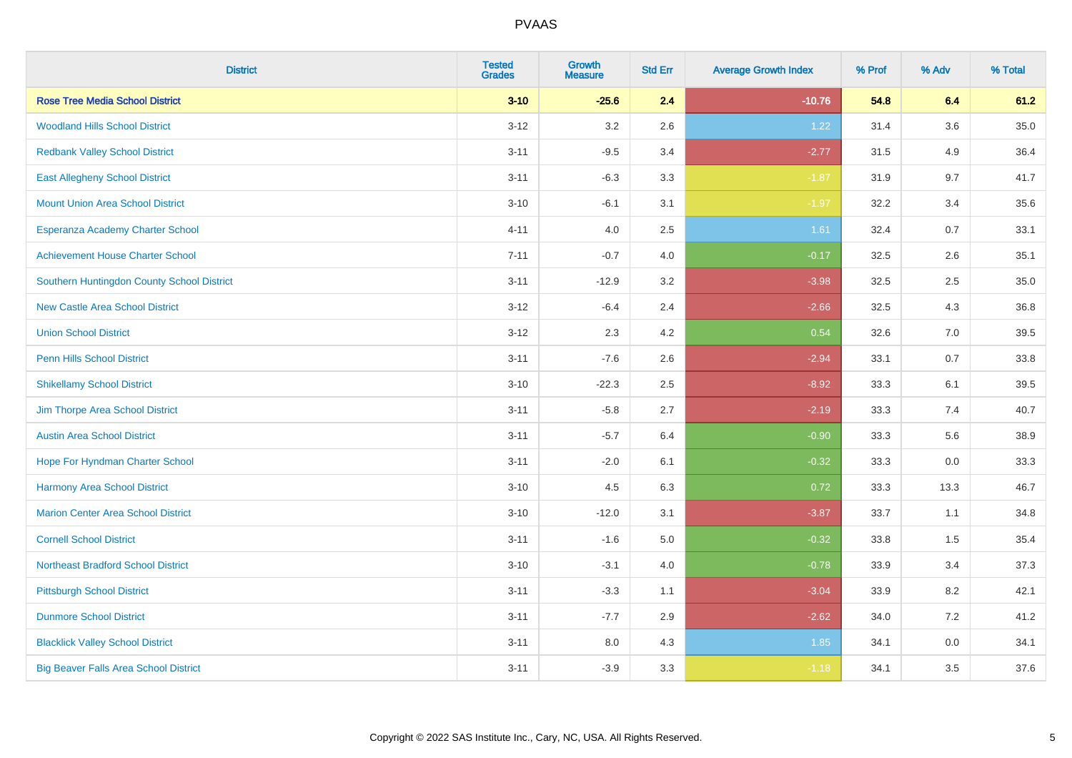| <b>District</b>                              | <b>Tested</b><br><b>Grades</b> | <b>Growth</b><br><b>Measure</b> | <b>Std Err</b> | <b>Average Growth Index</b> | % Prof | % Adv   | % Total |
|----------------------------------------------|--------------------------------|---------------------------------|----------------|-----------------------------|--------|---------|---------|
| <b>Rose Tree Media School District</b>       | $3 - 10$                       | $-25.6$                         | 2.4            | $-10.76$                    | 54.8   | 6.4     | 61.2    |
| <b>Woodland Hills School District</b>        | $3 - 12$                       | 3.2                             | 2.6            | 1.22                        | 31.4   | $3.6\,$ | 35.0    |
| <b>Redbank Valley School District</b>        | $3 - 11$                       | $-9.5$                          | 3.4            | $-2.77$                     | 31.5   | 4.9     | 36.4    |
| <b>East Allegheny School District</b>        | $3 - 11$                       | $-6.3$                          | 3.3            | $-1.87$                     | 31.9   | 9.7     | 41.7    |
| <b>Mount Union Area School District</b>      | $3 - 10$                       | $-6.1$                          | 3.1            | $-1.97$                     | 32.2   | 3.4     | 35.6    |
| Esperanza Academy Charter School             | $4 - 11$                       | 4.0                             | 2.5            | 1.61                        | 32.4   | 0.7     | 33.1    |
| <b>Achievement House Charter School</b>      | $7 - 11$                       | $-0.7$                          | 4.0            | $-0.17$                     | 32.5   | 2.6     | 35.1    |
| Southern Huntingdon County School District   | $3 - 11$                       | $-12.9$                         | 3.2            | $-3.98$                     | 32.5   | 2.5     | 35.0    |
| <b>New Castle Area School District</b>       | $3 - 12$                       | $-6.4$                          | 2.4            | $-2.66$                     | 32.5   | 4.3     | 36.8    |
| <b>Union School District</b>                 | $3 - 12$                       | 2.3                             | 4.2            | 0.54                        | 32.6   | 7.0     | 39.5    |
| <b>Penn Hills School District</b>            | $3 - 11$                       | $-7.6$                          | 2.6            | $-2.94$                     | 33.1   | 0.7     | 33.8    |
| <b>Shikellamy School District</b>            | $3 - 10$                       | $-22.3$                         | 2.5            | $-8.92$                     | 33.3   | 6.1     | 39.5    |
| Jim Thorpe Area School District              | $3 - 11$                       | $-5.8$                          | 2.7            | $-2.19$                     | 33.3   | 7.4     | 40.7    |
| <b>Austin Area School District</b>           | $3 - 11$                       | $-5.7$                          | 6.4            | $-0.90$                     | 33.3   | 5.6     | 38.9    |
| Hope For Hyndman Charter School              | $3 - 11$                       | $-2.0$                          | 6.1            | $-0.32$                     | 33.3   | 0.0     | 33.3    |
| <b>Harmony Area School District</b>          | $3 - 10$                       | 4.5                             | 6.3            | 0.72                        | 33.3   | 13.3    | 46.7    |
| <b>Marion Center Area School District</b>    | $3 - 10$                       | $-12.0$                         | 3.1            | $-3.87$                     | 33.7   | 1.1     | 34.8    |
| <b>Cornell School District</b>               | $3 - 11$                       | $-1.6$                          | 5.0            | $-0.32$                     | 33.8   | 1.5     | 35.4    |
| <b>Northeast Bradford School District</b>    | $3 - 10$                       | $-3.1$                          | $4.0\,$        | $-0.78$                     | 33.9   | 3.4     | 37.3    |
| <b>Pittsburgh School District</b>            | $3 - 11$                       | $-3.3$                          | 1.1            | $-3.04$                     | 33.9   | 8.2     | 42.1    |
| <b>Dunmore School District</b>               | $3 - 11$                       | $-7.7$                          | 2.9            | $-2.62$                     | 34.0   | 7.2     | 41.2    |
| <b>Blacklick Valley School District</b>      | $3 - 11$                       | 8.0                             | 4.3            | 1.85                        | 34.1   | 0.0     | 34.1    |
| <b>Big Beaver Falls Area School District</b> | $3 - 11$                       | $-3.9$                          | 3.3            | $-1.18$                     | 34.1   | 3.5     | 37.6    |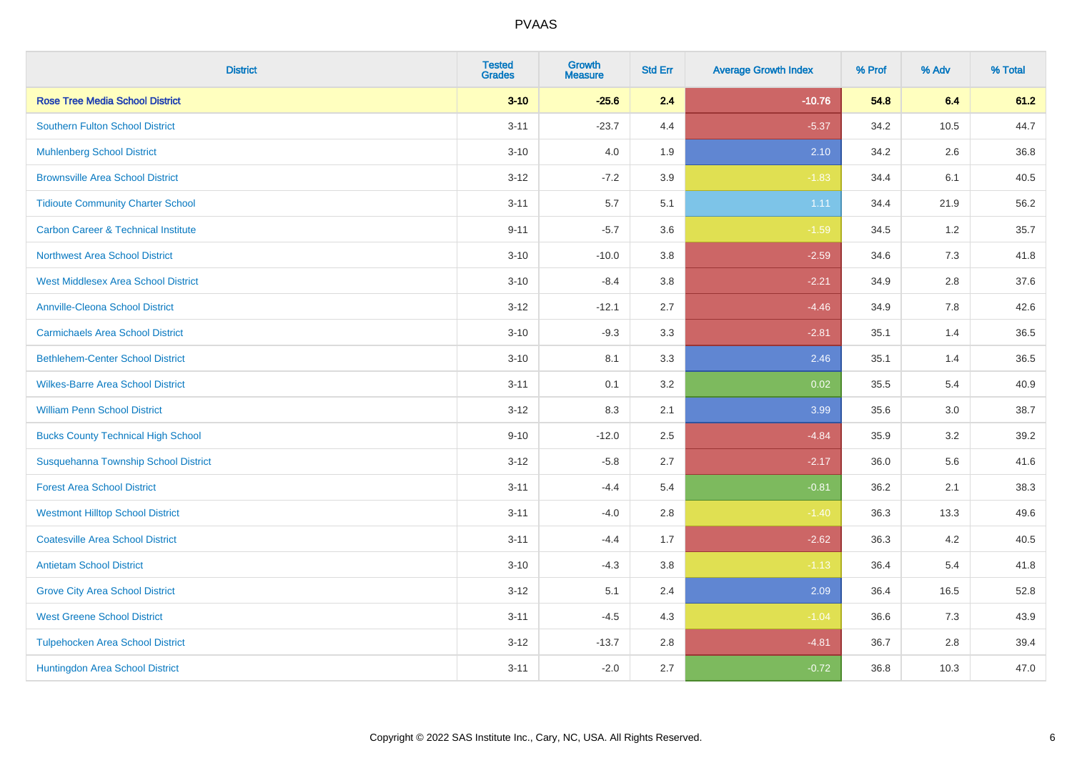| <b>District</b>                                | <b>Tested</b><br><b>Grades</b> | <b>Growth</b><br><b>Measure</b> | <b>Std Err</b> | <b>Average Growth Index</b> | % Prof | % Adv | % Total |
|------------------------------------------------|--------------------------------|---------------------------------|----------------|-----------------------------|--------|-------|---------|
| <b>Rose Tree Media School District</b>         | $3 - 10$                       | $-25.6$                         | 2.4            | $-10.76$                    | 54.8   | 6.4   | 61.2    |
| <b>Southern Fulton School District</b>         | $3 - 11$                       | $-23.7$                         | 4.4            | $-5.37$                     | 34.2   | 10.5  | 44.7    |
| <b>Muhlenberg School District</b>              | $3 - 10$                       | 4.0                             | 1.9            | 2.10                        | 34.2   | 2.6   | 36.8    |
| <b>Brownsville Area School District</b>        | $3 - 12$                       | $-7.2$                          | 3.9            | $-1.83$                     | 34.4   | 6.1   | 40.5    |
| <b>Tidioute Community Charter School</b>       | $3 - 11$                       | 5.7                             | 5.1            | 1.11                        | 34.4   | 21.9  | 56.2    |
| <b>Carbon Career &amp; Technical Institute</b> | $9 - 11$                       | $-5.7$                          | 3.6            | $-1.59$                     | 34.5   | 1.2   | 35.7    |
| <b>Northwest Area School District</b>          | $3 - 10$                       | $-10.0$                         | 3.8            | $-2.59$                     | 34.6   | 7.3   | 41.8    |
| <b>West Middlesex Area School District</b>     | $3 - 10$                       | $-8.4$                          | 3.8            | $-2.21$                     | 34.9   | 2.8   | 37.6    |
| <b>Annville-Cleona School District</b>         | $3 - 12$                       | $-12.1$                         | 2.7            | $-4.46$                     | 34.9   | 7.8   | 42.6    |
| <b>Carmichaels Area School District</b>        | $3 - 10$                       | $-9.3$                          | 3.3            | $-2.81$                     | 35.1   | 1.4   | 36.5    |
| <b>Bethlehem-Center School District</b>        | $3 - 10$                       | 8.1                             | 3.3            | 2.46                        | 35.1   | 1.4   | 36.5    |
| <b>Wilkes-Barre Area School District</b>       | $3 - 11$                       | 0.1                             | 3.2            | 0.02                        | 35.5   | 5.4   | 40.9    |
| <b>William Penn School District</b>            | $3 - 12$                       | 8.3                             | 2.1            | 3.99                        | 35.6   | 3.0   | 38.7    |
| <b>Bucks County Technical High School</b>      | $9 - 10$                       | $-12.0$                         | 2.5            | $-4.84$                     | 35.9   | 3.2   | 39.2    |
| Susquehanna Township School District           | $3 - 12$                       | $-5.8$                          | 2.7            | $-2.17$                     | 36.0   | 5.6   | 41.6    |
| <b>Forest Area School District</b>             | $3 - 11$                       | $-4.4$                          | 5.4            | $-0.81$                     | 36.2   | 2.1   | 38.3    |
| <b>Westmont Hilltop School District</b>        | $3 - 11$                       | $-4.0$                          | 2.8            | $-1.40$                     | 36.3   | 13.3  | 49.6    |
| <b>Coatesville Area School District</b>        | $3 - 11$                       | $-4.4$                          | 1.7            | $-2.62$                     | 36.3   | 4.2   | 40.5    |
| <b>Antietam School District</b>                | $3 - 10$                       | $-4.3$                          | 3.8            | $-1.13$                     | 36.4   | 5.4   | 41.8    |
| <b>Grove City Area School District</b>         | $3 - 12$                       | 5.1                             | 2.4            | 2.09                        | 36.4   | 16.5  | 52.8    |
| <b>West Greene School District</b>             | $3 - 11$                       | $-4.5$                          | 4.3            | $-1.04$                     | 36.6   | 7.3   | 43.9    |
| <b>Tulpehocken Area School District</b>        | $3 - 12$                       | $-13.7$                         | 2.8            | $-4.81$                     | 36.7   | 2.8   | 39.4    |
| Huntingdon Area School District                | $3 - 11$                       | $-2.0$                          | 2.7            | $-0.72$                     | 36.8   | 10.3  | 47.0    |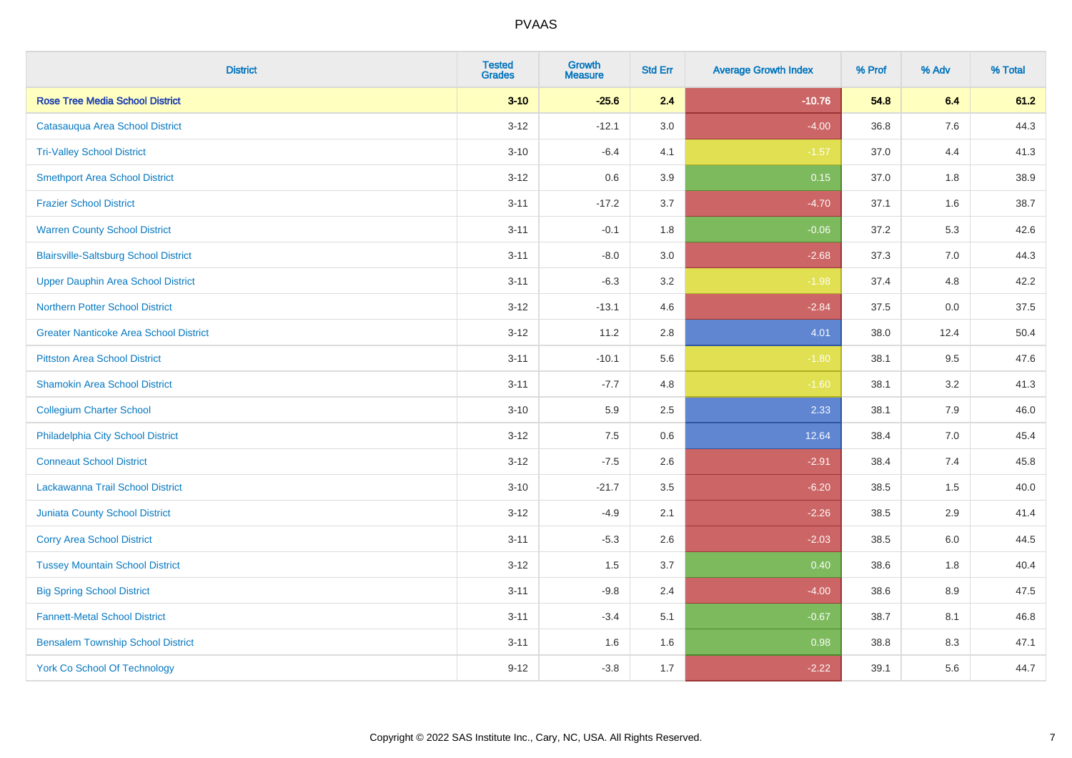| <b>District</b>                               | <b>Tested</b><br><b>Grades</b> | Growth<br><b>Measure</b> | <b>Std Err</b> | <b>Average Growth Index</b> | % Prof | % Adv   | % Total |
|-----------------------------------------------|--------------------------------|--------------------------|----------------|-----------------------------|--------|---------|---------|
| <b>Rose Tree Media School District</b>        | $3 - 10$                       | $-25.6$                  | 2.4            | $-10.76$                    | 54.8   | 6.4     | 61.2    |
| Catasauqua Area School District               | $3 - 12$                       | $-12.1$                  | 3.0            | $-4.00$                     | 36.8   | 7.6     | 44.3    |
| <b>Tri-Valley School District</b>             | $3 - 10$                       | $-6.4$                   | 4.1            | $-1.57$                     | 37.0   | 4.4     | 41.3    |
| <b>Smethport Area School District</b>         | $3 - 12$                       | 0.6                      | 3.9            | 0.15                        | 37.0   | 1.8     | 38.9    |
| <b>Frazier School District</b>                | $3 - 11$                       | $-17.2$                  | 3.7            | $-4.70$                     | 37.1   | 1.6     | 38.7    |
| <b>Warren County School District</b>          | $3 - 11$                       | $-0.1$                   | 1.8            | $-0.06$                     | 37.2   | 5.3     | 42.6    |
| <b>Blairsville-Saltsburg School District</b>  | $3 - 11$                       | $-8.0$                   | 3.0            | $-2.68$                     | 37.3   | 7.0     | 44.3    |
| <b>Upper Dauphin Area School District</b>     | $3 - 11$                       | $-6.3$                   | 3.2            | $-1.98$                     | 37.4   | 4.8     | 42.2    |
| Northern Potter School District               | $3 - 12$                       | $-13.1$                  | 4.6            | $-2.84$                     | 37.5   | 0.0     | 37.5    |
| <b>Greater Nanticoke Area School District</b> | $3 - 12$                       | 11.2                     | 2.8            | 4.01                        | 38.0   | 12.4    | 50.4    |
| <b>Pittston Area School District</b>          | $3 - 11$                       | $-10.1$                  | 5.6            | $-1.80$                     | 38.1   | 9.5     | 47.6    |
| <b>Shamokin Area School District</b>          | $3 - 11$                       | $-7.7$                   | 4.8            | $-1.60$                     | 38.1   | 3.2     | 41.3    |
| <b>Collegium Charter School</b>               | $3 - 10$                       | 5.9                      | 2.5            | 2.33                        | 38.1   | 7.9     | 46.0    |
| Philadelphia City School District             | $3 - 12$                       | 7.5                      | 0.6            | 12.64                       | 38.4   | $7.0\,$ | 45.4    |
| <b>Conneaut School District</b>               | $3 - 12$                       | $-7.5$                   | 2.6            | $-2.91$                     | 38.4   | 7.4     | 45.8    |
| Lackawanna Trail School District              | $3 - 10$                       | $-21.7$                  | 3.5            | $-6.20$                     | 38.5   | 1.5     | 40.0    |
| <b>Juniata County School District</b>         | $3 - 12$                       | $-4.9$                   | 2.1            | $-2.26$                     | 38.5   | 2.9     | 41.4    |
| <b>Corry Area School District</b>             | $3 - 11$                       | $-5.3$                   | 2.6            | $-2.03$                     | 38.5   | 6.0     | 44.5    |
| <b>Tussey Mountain School District</b>        | $3 - 12$                       | 1.5                      | 3.7            | 0.40                        | 38.6   | 1.8     | 40.4    |
| <b>Big Spring School District</b>             | $3 - 11$                       | $-9.8$                   | 2.4            | $-4.00$                     | 38.6   | 8.9     | 47.5    |
| <b>Fannett-Metal School District</b>          | $3 - 11$                       | $-3.4$                   | 5.1            | $-0.67$                     | 38.7   | 8.1     | 46.8    |
| <b>Bensalem Township School District</b>      | $3 - 11$                       | 1.6                      | 1.6            | 0.98                        | 38.8   | 8.3     | 47.1    |
| <b>York Co School Of Technology</b>           | $9 - 12$                       | $-3.8$                   | 1.7            | $-2.22$                     | 39.1   | 5.6     | 44.7    |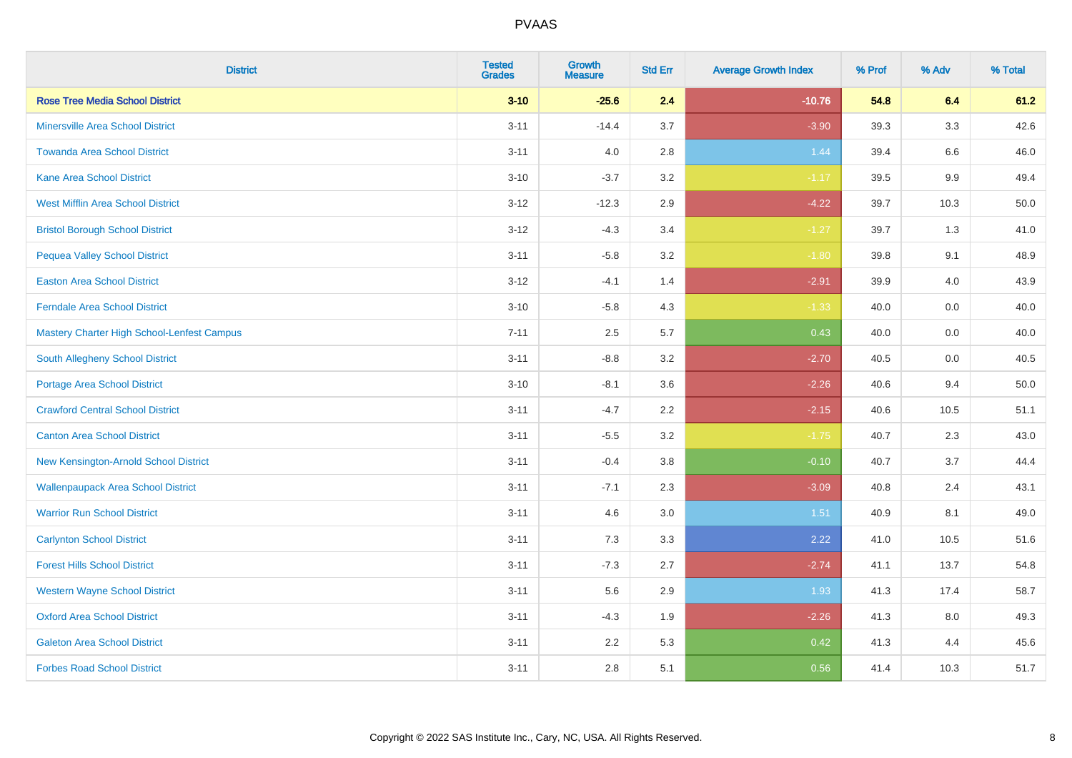| <b>District</b>                            | <b>Tested</b><br><b>Grades</b> | Growth<br><b>Measure</b> | <b>Std Err</b> | <b>Average Growth Index</b> | % Prof | % Adv   | % Total |
|--------------------------------------------|--------------------------------|--------------------------|----------------|-----------------------------|--------|---------|---------|
| <b>Rose Tree Media School District</b>     | $3 - 10$                       | $-25.6$                  | 2.4            | $-10.76$                    | 54.8   | 6.4     | 61.2    |
| <b>Minersville Area School District</b>    | $3 - 11$                       | $-14.4$                  | 3.7            | $-3.90$                     | 39.3   | 3.3     | 42.6    |
| <b>Towanda Area School District</b>        | $3 - 11$                       | 4.0                      | 2.8            | 1.44                        | 39.4   | 6.6     | 46.0    |
| Kane Area School District                  | $3 - 10$                       | $-3.7$                   | $3.2\,$        | $-1.17$                     | 39.5   | $9.9\,$ | 49.4    |
| <b>West Mifflin Area School District</b>   | $3 - 12$                       | $-12.3$                  | 2.9            | $-4.22$                     | 39.7   | 10.3    | 50.0    |
| <b>Bristol Borough School District</b>     | $3 - 12$                       | $-4.3$                   | 3.4            | $-1.27$                     | 39.7   | 1.3     | 41.0    |
| <b>Pequea Valley School District</b>       | $3 - 11$                       | $-5.8$                   | 3.2            | $-1.80$                     | 39.8   | 9.1     | 48.9    |
| <b>Easton Area School District</b>         | $3 - 12$                       | $-4.1$                   | 1.4            | $-2.91$                     | 39.9   | 4.0     | 43.9    |
| <b>Ferndale Area School District</b>       | $3 - 10$                       | $-5.8$                   | 4.3            | $-1.33$                     | 40.0   | 0.0     | 40.0    |
| Mastery Charter High School-Lenfest Campus | $7 - 11$                       | $2.5\,$                  | 5.7            | 0.43                        | 40.0   | 0.0     | 40.0    |
| South Allegheny School District            | $3 - 11$                       | $-8.8$                   | 3.2            | $-2.70$                     | 40.5   | 0.0     | 40.5    |
| <b>Portage Area School District</b>        | $3 - 10$                       | $-8.1$                   | 3.6            | $-2.26$                     | 40.6   | 9.4     | 50.0    |
| <b>Crawford Central School District</b>    | $3 - 11$                       | $-4.7$                   | 2.2            | $-2.15$                     | 40.6   | 10.5    | 51.1    |
| <b>Canton Area School District</b>         | $3 - 11$                       | $-5.5$                   | 3.2            | $-1.75$                     | 40.7   | 2.3     | 43.0    |
| New Kensington-Arnold School District      | $3 - 11$                       | $-0.4$                   | 3.8            | $-0.10$                     | 40.7   | 3.7     | 44.4    |
| <b>Wallenpaupack Area School District</b>  | $3 - 11$                       | $-7.1$                   | 2.3            | $-3.09$                     | 40.8   | 2.4     | 43.1    |
| <b>Warrior Run School District</b>         | $3 - 11$                       | 4.6                      | 3.0            | 1.51                        | 40.9   | 8.1     | 49.0    |
| <b>Carlynton School District</b>           | $3 - 11$                       | 7.3                      | 3.3            | 2.22                        | 41.0   | 10.5    | 51.6    |
| <b>Forest Hills School District</b>        | $3 - 11$                       | $-7.3$                   | 2.7            | $-2.74$                     | 41.1   | 13.7    | 54.8    |
| <b>Western Wayne School District</b>       | $3 - 11$                       | 5.6                      | 2.9            | 1.93                        | 41.3   | 17.4    | 58.7    |
| <b>Oxford Area School District</b>         | $3 - 11$                       | $-4.3$                   | 1.9            | $-2.26$                     | 41.3   | 8.0     | 49.3    |
| <b>Galeton Area School District</b>        | $3 - 11$                       | 2.2                      | 5.3            | 0.42                        | 41.3   | 4.4     | 45.6    |
| <b>Forbes Road School District</b>         | $3 - 11$                       | 2.8                      | 5.1            | 0.56                        | 41.4   | 10.3    | 51.7    |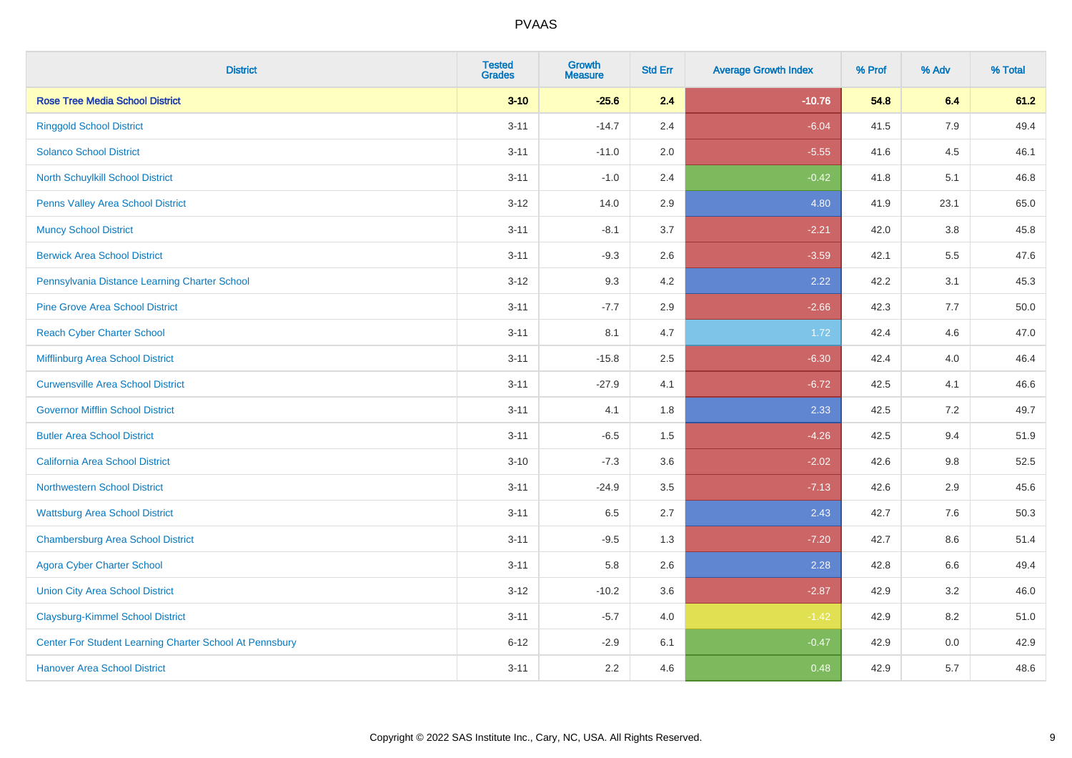| <b>District</b>                                         | <b>Tested</b><br><b>Grades</b> | Growth<br><b>Measure</b> | <b>Std Err</b> | <b>Average Growth Index</b> | % Prof | % Adv   | % Total |
|---------------------------------------------------------|--------------------------------|--------------------------|----------------|-----------------------------|--------|---------|---------|
| <b>Rose Tree Media School District</b>                  | $3 - 10$                       | $-25.6$                  | 2.4            | $-10.76$                    | 54.8   | 6.4     | 61.2    |
| <b>Ringgold School District</b>                         | $3 - 11$                       | $-14.7$                  | 2.4            | $-6.04$                     | 41.5   | 7.9     | 49.4    |
| <b>Solanco School District</b>                          | $3 - 11$                       | $-11.0$                  | 2.0            | $-5.55$                     | 41.6   | 4.5     | 46.1    |
| <b>North Schuylkill School District</b>                 | $3 - 11$                       | $-1.0$                   | 2.4            | $-0.42$                     | 41.8   | 5.1     | 46.8    |
| Penns Valley Area School District                       | $3 - 12$                       | 14.0                     | 2.9            | 4.80                        | 41.9   | 23.1    | 65.0    |
| <b>Muncy School District</b>                            | $3 - 11$                       | $-8.1$                   | 3.7            | $-2.21$                     | 42.0   | 3.8     | 45.8    |
| <b>Berwick Area School District</b>                     | $3 - 11$                       | $-9.3$                   | 2.6            | $-3.59$                     | 42.1   | 5.5     | 47.6    |
| Pennsylvania Distance Learning Charter School           | $3 - 12$                       | 9.3                      | 4.2            | 2.22                        | 42.2   | 3.1     | 45.3    |
| <b>Pine Grove Area School District</b>                  | $3 - 11$                       | $-7.7$                   | 2.9            | $-2.66$                     | 42.3   | 7.7     | 50.0    |
| <b>Reach Cyber Charter School</b>                       | $3 - 11$                       | 8.1                      | 4.7            | 1.72                        | 42.4   | 4.6     | 47.0    |
| Mifflinburg Area School District                        | $3 - 11$                       | $-15.8$                  | 2.5            | $-6.30$                     | 42.4   | 4.0     | 46.4    |
| <b>Curwensville Area School District</b>                | $3 - 11$                       | $-27.9$                  | 4.1            | $-6.72$                     | 42.5   | 4.1     | 46.6    |
| <b>Governor Mifflin School District</b>                 | $3 - 11$                       | 4.1                      | 1.8            | 2.33                        | 42.5   | 7.2     | 49.7    |
| <b>Butler Area School District</b>                      | $3 - 11$                       | $-6.5$                   | 1.5            | $-4.26$                     | 42.5   | 9.4     | 51.9    |
| <b>California Area School District</b>                  | $3 - 10$                       | $-7.3$                   | 3.6            | $-2.02$                     | 42.6   | 9.8     | 52.5    |
| <b>Northwestern School District</b>                     | $3 - 11$                       | $-24.9$                  | 3.5            | $-7.13$                     | 42.6   | 2.9     | 45.6    |
| <b>Wattsburg Area School District</b>                   | $3 - 11$                       | 6.5                      | 2.7            | 2.43                        | 42.7   | 7.6     | 50.3    |
| <b>Chambersburg Area School District</b>                | $3 - 11$                       | $-9.5$                   | 1.3            | $-7.20$                     | 42.7   | 8.6     | 51.4    |
| <b>Agora Cyber Charter School</b>                       | $3 - 11$                       | 5.8                      | 2.6            | 2.28                        | 42.8   | $6.6\,$ | 49.4    |
| <b>Union City Area School District</b>                  | $3 - 12$                       | $-10.2$                  | 3.6            | $-2.87$                     | 42.9   | 3.2     | 46.0    |
| <b>Claysburg-Kimmel School District</b>                 | $3 - 11$                       | $-5.7$                   | 4.0            | $-1.42$                     | 42.9   | 8.2     | 51.0    |
| Center For Student Learning Charter School At Pennsbury | $6 - 12$                       | $-2.9$                   | 6.1            | $-0.47$                     | 42.9   | 0.0     | 42.9    |
| <b>Hanover Area School District</b>                     | $3 - 11$                       | 2.2                      | 4.6            | 0.48                        | 42.9   | 5.7     | 48.6    |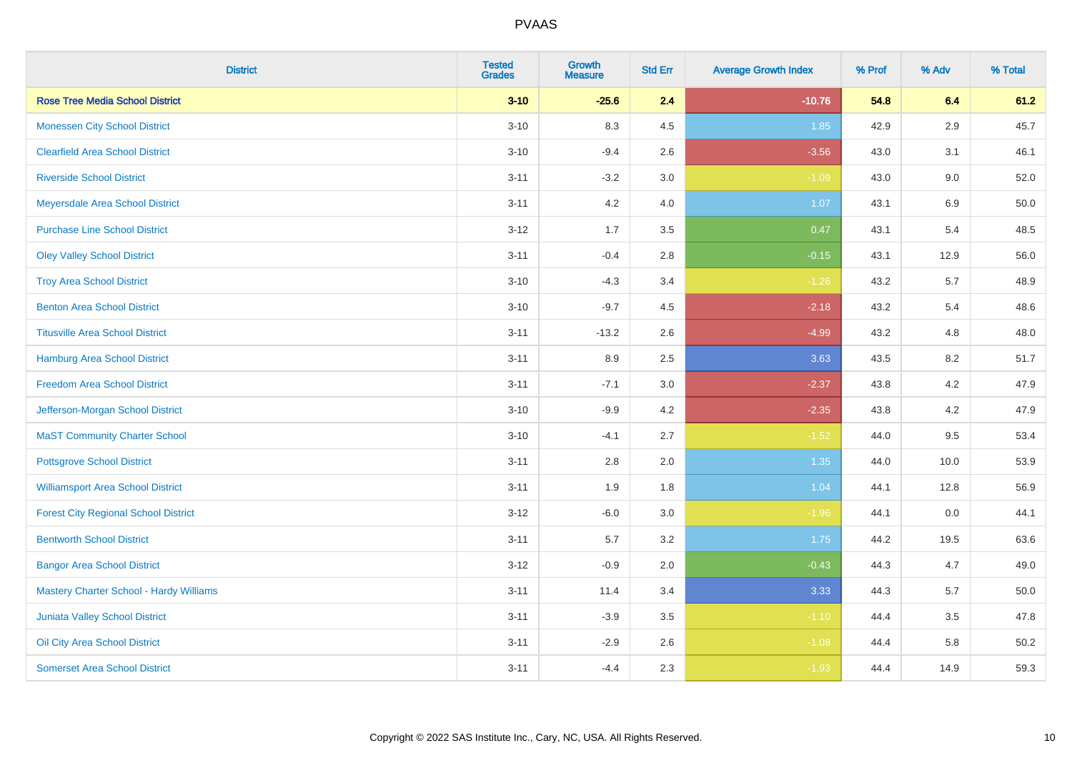| <b>District</b>                                | <b>Tested</b><br><b>Grades</b> | <b>Growth</b><br><b>Measure</b> | <b>Std Err</b> | <b>Average Growth Index</b> | % Prof | % Adv   | % Total |
|------------------------------------------------|--------------------------------|---------------------------------|----------------|-----------------------------|--------|---------|---------|
| <b>Rose Tree Media School District</b>         | $3 - 10$                       | $-25.6$                         | 2.4            | $-10.76$                    | 54.8   | 6.4     | 61.2    |
| <b>Monessen City School District</b>           | $3 - 10$                       | 8.3                             | 4.5            | 1.85                        | 42.9   | $2.9\,$ | 45.7    |
| <b>Clearfield Area School District</b>         | $3 - 10$                       | $-9.4$                          | 2.6            | $-3.56$                     | 43.0   | 3.1     | 46.1    |
| <b>Riverside School District</b>               | $3 - 11$                       | $-3.2$                          | 3.0            | $-1.09$                     | 43.0   | 9.0     | 52.0    |
| Meyersdale Area School District                | $3 - 11$                       | 4.2                             | 4.0            | 1.07                        | 43.1   | 6.9     | 50.0    |
| <b>Purchase Line School District</b>           | $3 - 12$                       | 1.7                             | 3.5            | 0.47                        | 43.1   | 5.4     | 48.5    |
| <b>Oley Valley School District</b>             | $3 - 11$                       | $-0.4$                          | 2.8            | $-0.15$                     | 43.1   | 12.9    | 56.0    |
| <b>Troy Area School District</b>               | $3 - 10$                       | $-4.3$                          | 3.4            | $-1.26$                     | 43.2   | 5.7     | 48.9    |
| <b>Benton Area School District</b>             | $3 - 10$                       | $-9.7$                          | 4.5            | $-2.18$                     | 43.2   | 5.4     | 48.6    |
| <b>Titusville Area School District</b>         | $3 - 11$                       | $-13.2$                         | 2.6            | $-4.99$                     | 43.2   | 4.8     | 48.0    |
| Hamburg Area School District                   | $3 - 11$                       | 8.9                             | 2.5            | 3.63                        | 43.5   | 8.2     | 51.7    |
| <b>Freedom Area School District</b>            | $3 - 11$                       | $-7.1$                          | 3.0            | $-2.37$                     | 43.8   | 4.2     | 47.9    |
| Jefferson-Morgan School District               | $3 - 10$                       | $-9.9$                          | 4.2            | $-2.35$                     | 43.8   | 4.2     | 47.9    |
| <b>MaST Community Charter School</b>           | $3 - 10$                       | $-4.1$                          | 2.7            | $-1.52$                     | 44.0   | 9.5     | 53.4    |
| <b>Pottsgrove School District</b>              | $3 - 11$                       | 2.8                             | 2.0            | 1.35                        | 44.0   | 10.0    | 53.9    |
| <b>Williamsport Area School District</b>       | $3 - 11$                       | 1.9                             | 1.8            | 1.04                        | 44.1   | 12.8    | 56.9    |
| <b>Forest City Regional School District</b>    | $3 - 12$                       | $-6.0$                          | 3.0            | $-1.96$                     | 44.1   | 0.0     | 44.1    |
| <b>Bentworth School District</b>               | $3 - 11$                       | 5.7                             | 3.2            | 1.75                        | 44.2   | 19.5    | 63.6    |
| <b>Bangor Area School District</b>             | $3 - 12$                       | $-0.9$                          | 2.0            | $-0.43$                     | 44.3   | 4.7     | 49.0    |
| <b>Mastery Charter School - Hardy Williams</b> | $3 - 11$                       | 11.4                            | 3.4            | 3.33                        | 44.3   | 5.7     | 50.0    |
| <b>Juniata Valley School District</b>          | $3 - 11$                       | $-3.9$                          | 3.5            | $-1.10$                     | 44.4   | 3.5     | 47.8    |
| Oil City Area School District                  | $3 - 11$                       | $-2.9$                          | 2.6            | $-1.08$                     | 44.4   | 5.8     | 50.2    |
| <b>Somerset Area School District</b>           | $3 - 11$                       | $-4.4$                          | 2.3            | $-1.93$                     | 44.4   | 14.9    | 59.3    |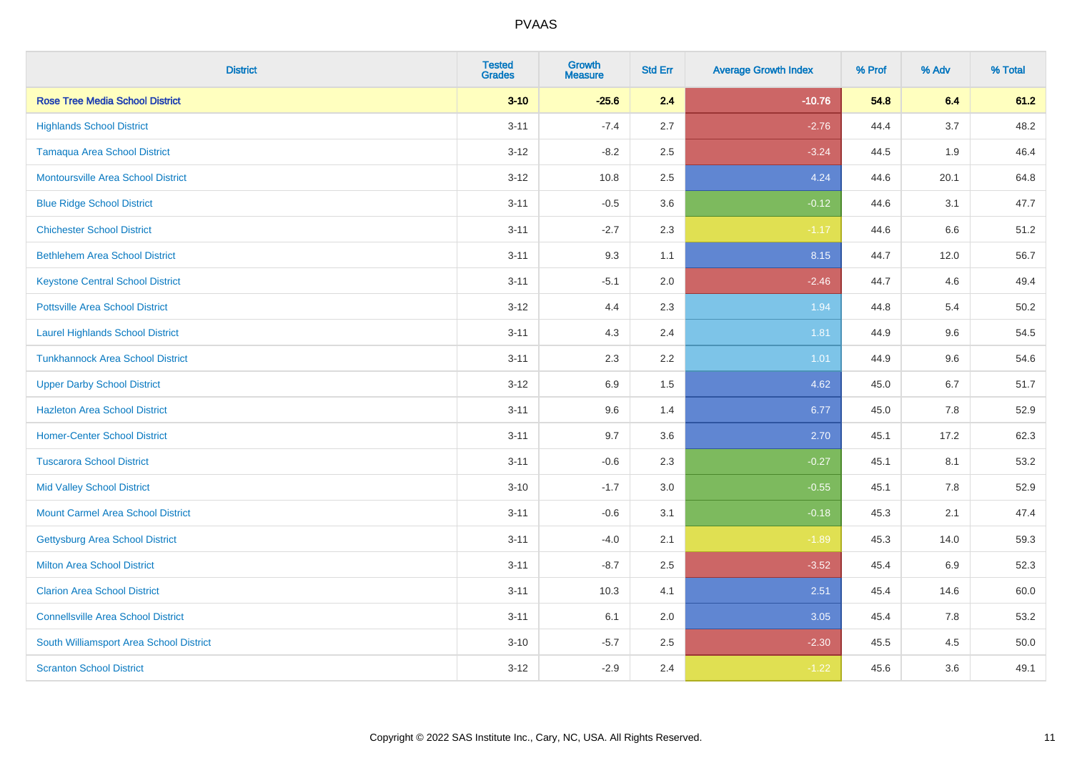| <b>District</b>                           | <b>Tested</b><br><b>Grades</b> | <b>Growth</b><br><b>Measure</b> | <b>Std Err</b> | <b>Average Growth Index</b> | % Prof | % Adv | % Total |
|-------------------------------------------|--------------------------------|---------------------------------|----------------|-----------------------------|--------|-------|---------|
| <b>Rose Tree Media School District</b>    | $3 - 10$                       | $-25.6$                         | 2.4            | $-10.76$                    | 54.8   | 6.4   | 61.2    |
| <b>Highlands School District</b>          | $3 - 11$                       | $-7.4$                          | 2.7            | $-2.76$                     | 44.4   | 3.7   | 48.2    |
| <b>Tamaqua Area School District</b>       | $3 - 12$                       | $-8.2$                          | 2.5            | $-3.24$                     | 44.5   | 1.9   | 46.4    |
| <b>Montoursville Area School District</b> | $3 - 12$                       | 10.8                            | 2.5            | 4.24                        | 44.6   | 20.1  | 64.8    |
| <b>Blue Ridge School District</b>         | $3 - 11$                       | $-0.5$                          | 3.6            | $-0.12$                     | 44.6   | 3.1   | 47.7    |
| <b>Chichester School District</b>         | $3 - 11$                       | $-2.7$                          | 2.3            | $-1.17$                     | 44.6   | 6.6   | 51.2    |
| <b>Bethlehem Area School District</b>     | $3 - 11$                       | 9.3                             | 1.1            | 8.15                        | 44.7   | 12.0  | 56.7    |
| <b>Keystone Central School District</b>   | $3 - 11$                       | $-5.1$                          | 2.0            | $-2.46$                     | 44.7   | 4.6   | 49.4    |
| <b>Pottsville Area School District</b>    | $3 - 12$                       | 4.4                             | 2.3            | 1.94                        | 44.8   | 5.4   | 50.2    |
| <b>Laurel Highlands School District</b>   | $3 - 11$                       | 4.3                             | 2.4            | 1.81                        | 44.9   | 9.6   | 54.5    |
| <b>Tunkhannock Area School District</b>   | $3 - 11$                       | 2.3                             | 2.2            | 1.01                        | 44.9   | 9.6   | 54.6    |
| <b>Upper Darby School District</b>        | $3 - 12$                       | 6.9                             | 1.5            | 4.62                        | 45.0   | 6.7   | 51.7    |
| <b>Hazleton Area School District</b>      | $3 - 11$                       | 9.6                             | 1.4            | 6.77                        | 45.0   | 7.8   | 52.9    |
| <b>Homer-Center School District</b>       | $3 - 11$                       | 9.7                             | 3.6            | 2.70                        | 45.1   | 17.2  | 62.3    |
| <b>Tuscarora School District</b>          | $3 - 11$                       | $-0.6$                          | 2.3            | $-0.27$                     | 45.1   | 8.1   | 53.2    |
| <b>Mid Valley School District</b>         | $3 - 10$                       | $-1.7$                          | 3.0            | $-0.55$                     | 45.1   | 7.8   | 52.9    |
| <b>Mount Carmel Area School District</b>  | $3 - 11$                       | $-0.6$                          | 3.1            | $-0.18$                     | 45.3   | 2.1   | 47.4    |
| Gettysburg Area School District           | $3 - 11$                       | $-4.0$                          | 2.1            | $-1.89$                     | 45.3   | 14.0  | 59.3    |
| <b>Milton Area School District</b>        | $3 - 11$                       | $-8.7$                          | 2.5            | $-3.52$                     | 45.4   | 6.9   | 52.3    |
| <b>Clarion Area School District</b>       | $3 - 11$                       | 10.3                            | 4.1            | 2.51                        | 45.4   | 14.6  | 60.0    |
| <b>Connellsville Area School District</b> | $3 - 11$                       | 6.1                             | 2.0            | 3.05                        | 45.4   | 7.8   | 53.2    |
| South Williamsport Area School District   | $3 - 10$                       | $-5.7$                          | 2.5            | $-2.30$                     | 45.5   | 4.5   | 50.0    |
| <b>Scranton School District</b>           | $3 - 12$                       | $-2.9$                          | 2.4            | $-1.22$                     | 45.6   | 3.6   | 49.1    |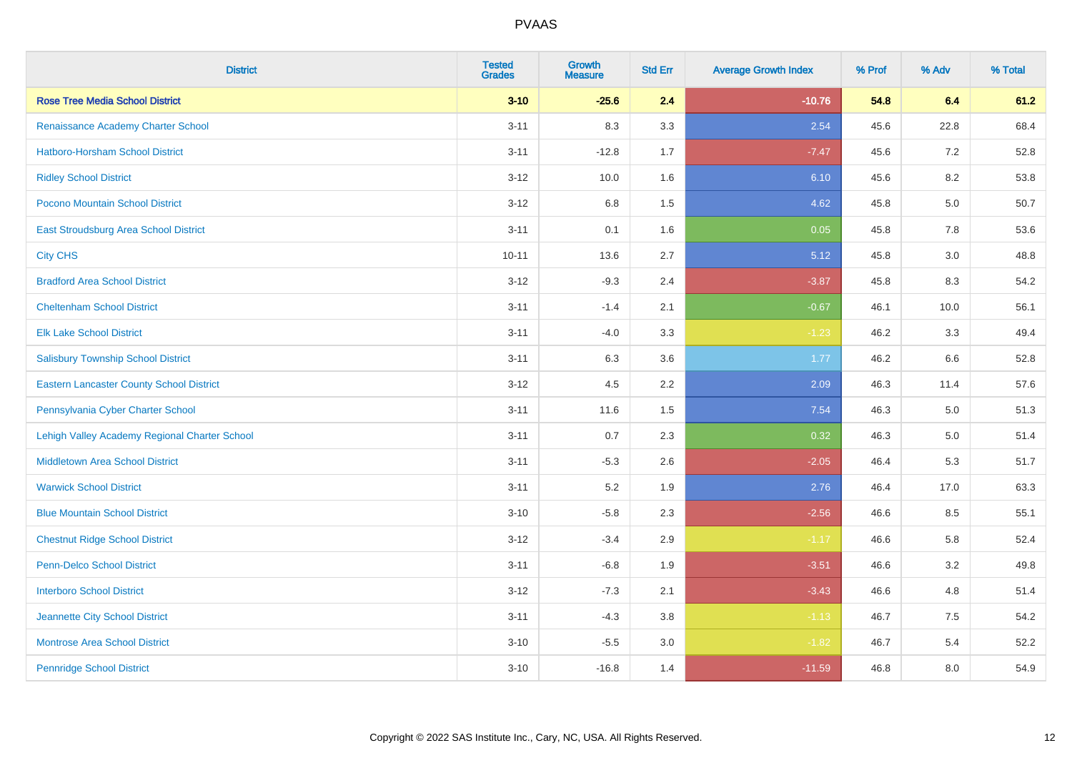| <b>District</b>                                 | <b>Tested</b><br><b>Grades</b> | <b>Growth</b><br><b>Measure</b> | <b>Std Err</b> | <b>Average Growth Index</b> | % Prof | % Adv   | % Total |
|-------------------------------------------------|--------------------------------|---------------------------------|----------------|-----------------------------|--------|---------|---------|
| <b>Rose Tree Media School District</b>          | $3 - 10$                       | $-25.6$                         | 2.4            | $-10.76$                    | 54.8   | 6.4     | 61.2    |
| Renaissance Academy Charter School              | $3 - 11$                       | 8.3                             | 3.3            | 2.54                        | 45.6   | 22.8    | 68.4    |
| <b>Hatboro-Horsham School District</b>          | $3 - 11$                       | $-12.8$                         | 1.7            | $-7.47$                     | 45.6   | 7.2     | 52.8    |
| <b>Ridley School District</b>                   | $3 - 12$                       | 10.0                            | 1.6            | 6.10                        | 45.6   | 8.2     | 53.8    |
| Pocono Mountain School District                 | $3 - 12$                       | 6.8                             | 1.5            | 4.62                        | 45.8   | 5.0     | 50.7    |
| <b>East Stroudsburg Area School District</b>    | $3 - 11$                       | 0.1                             | 1.6            | 0.05                        | 45.8   | 7.8     | 53.6    |
| <b>City CHS</b>                                 | $10 - 11$                      | 13.6                            | 2.7            | 5.12                        | 45.8   | 3.0     | 48.8    |
| <b>Bradford Area School District</b>            | $3 - 12$                       | $-9.3$                          | 2.4            | $-3.87$                     | 45.8   | 8.3     | 54.2    |
| <b>Cheltenham School District</b>               | $3 - 11$                       | $-1.4$                          | 2.1            | $-0.67$                     | 46.1   | 10.0    | 56.1    |
| <b>Elk Lake School District</b>                 | $3 - 11$                       | $-4.0$                          | 3.3            | $-1.23$                     | 46.2   | 3.3     | 49.4    |
| <b>Salisbury Township School District</b>       | $3 - 11$                       | 6.3                             | 3.6            | 1.77                        | 46.2   | 6.6     | 52.8    |
| <b>Eastern Lancaster County School District</b> | $3 - 12$                       | 4.5                             | 2.2            | 2.09                        | 46.3   | 11.4    | 57.6    |
| Pennsylvania Cyber Charter School               | $3 - 11$                       | 11.6                            | 1.5            | 7.54                        | 46.3   | $5.0\,$ | 51.3    |
| Lehigh Valley Academy Regional Charter School   | $3 - 11$                       | 0.7                             | 2.3            | 0.32                        | 46.3   | 5.0     | 51.4    |
| <b>Middletown Area School District</b>          | $3 - 11$                       | $-5.3$                          | 2.6            | $-2.05$                     | 46.4   | 5.3     | 51.7    |
| <b>Warwick School District</b>                  | $3 - 11$                       | 5.2                             | 1.9            | 2.76                        | 46.4   | 17.0    | 63.3    |
| <b>Blue Mountain School District</b>            | $3 - 10$                       | $-5.8$                          | 2.3            | $-2.56$                     | 46.6   | 8.5     | 55.1    |
| <b>Chestnut Ridge School District</b>           | $3 - 12$                       | $-3.4$                          | 2.9            | $-1.17$                     | 46.6   | 5.8     | 52.4    |
| Penn-Delco School District                      | $3 - 11$                       | $-6.8$                          | 1.9            | $-3.51$                     | 46.6   | 3.2     | 49.8    |
| <b>Interboro School District</b>                | $3 - 12$                       | $-7.3$                          | 2.1            | $-3.43$                     | 46.6   | 4.8     | 51.4    |
| Jeannette City School District                  | $3 - 11$                       | $-4.3$                          | 3.8            | $-1.13$                     | 46.7   | 7.5     | 54.2    |
| <b>Montrose Area School District</b>            | $3 - 10$                       | $-5.5$                          | 3.0            | $-1.82$                     | 46.7   | 5.4     | 52.2    |
| <b>Pennridge School District</b>                | $3 - 10$                       | $-16.8$                         | 1.4            | $-11.59$                    | 46.8   | 8.0     | 54.9    |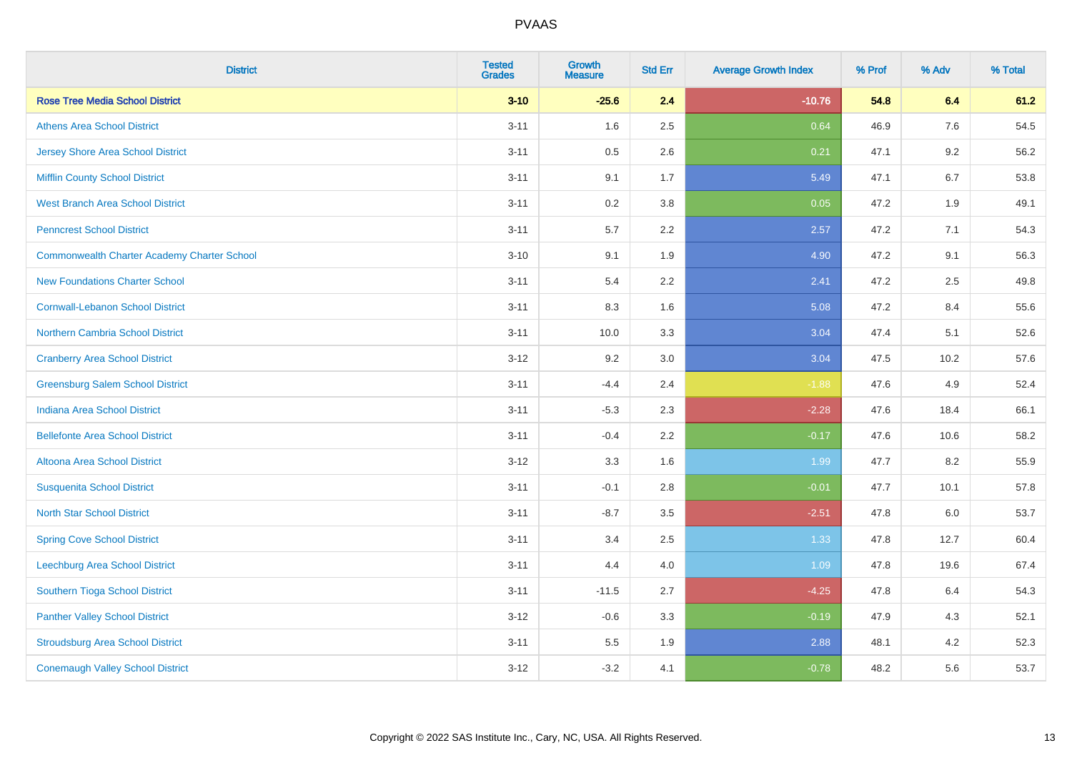| <b>District</b>                                    | <b>Tested</b><br><b>Grades</b> | <b>Growth</b><br><b>Measure</b> | <b>Std Err</b> | <b>Average Growth Index</b> | % Prof | % Adv   | % Total |
|----------------------------------------------------|--------------------------------|---------------------------------|----------------|-----------------------------|--------|---------|---------|
| <b>Rose Tree Media School District</b>             | $3 - 10$                       | $-25.6$                         | 2.4            | $-10.76$                    | 54.8   | 6.4     | 61.2    |
| <b>Athens Area School District</b>                 | $3 - 11$                       | 1.6                             | 2.5            | 0.64                        | 46.9   | 7.6     | 54.5    |
| <b>Jersey Shore Area School District</b>           | $3 - 11$                       | 0.5                             | 2.6            | 0.21                        | 47.1   | 9.2     | 56.2    |
| <b>Mifflin County School District</b>              | $3 - 11$                       | 9.1                             | 1.7            | 5.49                        | 47.1   | 6.7     | 53.8    |
| <b>West Branch Area School District</b>            | $3 - 11$                       | 0.2                             | 3.8            | 0.05                        | 47.2   | 1.9     | 49.1    |
| <b>Penncrest School District</b>                   | $3 - 11$                       | 5.7                             | 2.2            | 2.57                        | 47.2   | 7.1     | 54.3    |
| <b>Commonwealth Charter Academy Charter School</b> | $3 - 10$                       | 9.1                             | 1.9            | 4.90                        | 47.2   | 9.1     | 56.3    |
| <b>New Foundations Charter School</b>              | $3 - 11$                       | 5.4                             | 2.2            | 2.41                        | 47.2   | 2.5     | 49.8    |
| <b>Cornwall-Lebanon School District</b>            | $3 - 11$                       | 8.3                             | 1.6            | 5.08                        | 47.2   | 8.4     | 55.6    |
| Northern Cambria School District                   | $3 - 11$                       | 10.0                            | 3.3            | 3.04                        | 47.4   | 5.1     | 52.6    |
| <b>Cranberry Area School District</b>              | $3 - 12$                       | 9.2                             | 3.0            | 3.04                        | 47.5   | 10.2    | 57.6    |
| <b>Greensburg Salem School District</b>            | $3 - 11$                       | $-4.4$                          | 2.4            | $-1.88$                     | 47.6   | 4.9     | 52.4    |
| <b>Indiana Area School District</b>                | $3 - 11$                       | $-5.3$                          | 2.3            | $-2.28$                     | 47.6   | 18.4    | 66.1    |
| <b>Bellefonte Area School District</b>             | $3 - 11$                       | $-0.4$                          | 2.2            | $-0.17$                     | 47.6   | 10.6    | 58.2    |
| Altoona Area School District                       | $3 - 12$                       | 3.3                             | 1.6            | 1.99                        | 47.7   | 8.2     | 55.9    |
| <b>Susquenita School District</b>                  | $3 - 11$                       | $-0.1$                          | 2.8            | $-0.01$                     | 47.7   | 10.1    | 57.8    |
| <b>North Star School District</b>                  | $3 - 11$                       | $-8.7$                          | 3.5            | $-2.51$                     | 47.8   | $6.0\,$ | 53.7    |
| <b>Spring Cove School District</b>                 | $3 - 11$                       | 3.4                             | 2.5            | 1.33                        | 47.8   | 12.7    | 60.4    |
| <b>Leechburg Area School District</b>              | $3 - 11$                       | 4.4                             | 4.0            | 1.09                        | 47.8   | 19.6    | 67.4    |
| Southern Tioga School District                     | $3 - 11$                       | $-11.5$                         | 2.7            | $-4.25$                     | 47.8   | 6.4     | 54.3    |
| <b>Panther Valley School District</b>              | $3 - 12$                       | $-0.6$                          | 3.3            | $-0.19$                     | 47.9   | 4.3     | 52.1    |
| <b>Stroudsburg Area School District</b>            | $3 - 11$                       | 5.5                             | 1.9            | 2.88                        | 48.1   | 4.2     | 52.3    |
| <b>Conemaugh Valley School District</b>            | $3 - 12$                       | $-3.2$                          | 4.1            | $-0.78$                     | 48.2   | 5.6     | 53.7    |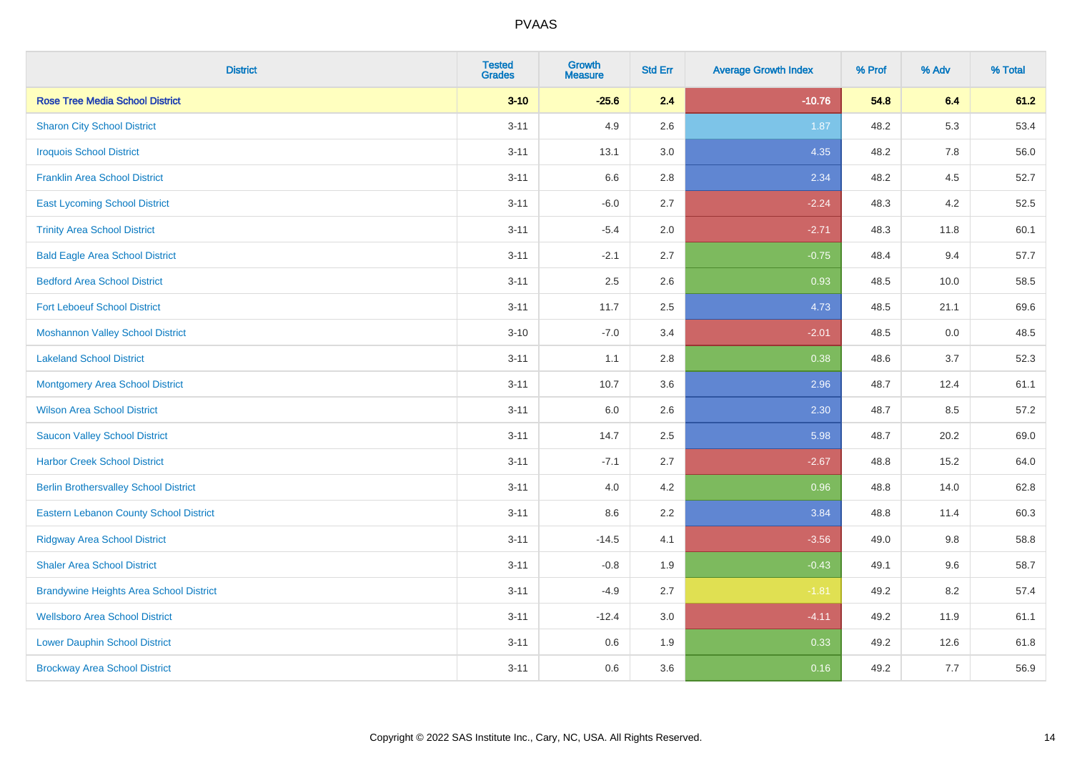| <b>District</b>                                | <b>Tested</b><br><b>Grades</b> | Growth<br><b>Measure</b> | <b>Std Err</b> | <b>Average Growth Index</b> | % Prof | % Adv | % Total |
|------------------------------------------------|--------------------------------|--------------------------|----------------|-----------------------------|--------|-------|---------|
| <b>Rose Tree Media School District</b>         | $3 - 10$                       | $-25.6$                  | 2.4            | $-10.76$                    | 54.8   | 6.4   | 61.2    |
| <b>Sharon City School District</b>             | $3 - 11$                       | 4.9                      | 2.6            | 1.87                        | 48.2   | 5.3   | 53.4    |
| <b>Iroquois School District</b>                | $3 - 11$                       | 13.1                     | 3.0            | 4.35                        | 48.2   | 7.8   | 56.0    |
| <b>Franklin Area School District</b>           | $3 - 11$                       | 6.6                      | 2.8            | 2.34                        | 48.2   | 4.5   | 52.7    |
| <b>East Lycoming School District</b>           | $3 - 11$                       | $-6.0$                   | 2.7            | $-2.24$                     | 48.3   | 4.2   | 52.5    |
| <b>Trinity Area School District</b>            | $3 - 11$                       | $-5.4$                   | 2.0            | $-2.71$                     | 48.3   | 11.8  | 60.1    |
| <b>Bald Eagle Area School District</b>         | $3 - 11$                       | $-2.1$                   | 2.7            | $-0.75$                     | 48.4   | 9.4   | 57.7    |
| <b>Bedford Area School District</b>            | $3 - 11$                       | 2.5                      | 2.6            | 0.93                        | 48.5   | 10.0  | 58.5    |
| <b>Fort Leboeuf School District</b>            | $3 - 11$                       | 11.7                     | 2.5            | 4.73                        | 48.5   | 21.1  | 69.6    |
| <b>Moshannon Valley School District</b>        | $3 - 10$                       | $-7.0$                   | 3.4            | $-2.01$                     | 48.5   | 0.0   | 48.5    |
| <b>Lakeland School District</b>                | $3 - 11$                       | 1.1                      | 2.8            | 0.38                        | 48.6   | 3.7   | 52.3    |
| <b>Montgomery Area School District</b>         | $3 - 11$                       | 10.7                     | 3.6            | 2.96                        | 48.7   | 12.4  | 61.1    |
| <b>Wilson Area School District</b>             | $3 - 11$                       | 6.0                      | 2.6            | 2.30                        | 48.7   | 8.5   | 57.2    |
| <b>Saucon Valley School District</b>           | $3 - 11$                       | 14.7                     | 2.5            | 5.98                        | 48.7   | 20.2  | 69.0    |
| <b>Harbor Creek School District</b>            | $3 - 11$                       | $-7.1$                   | 2.7            | $-2.67$                     | 48.8   | 15.2  | 64.0    |
| <b>Berlin Brothersvalley School District</b>   | $3 - 11$                       | 4.0                      | 4.2            | 0.96                        | 48.8   | 14.0  | 62.8    |
| <b>Eastern Lebanon County School District</b>  | $3 - 11$                       | 8.6                      | 2.2            | 3.84                        | 48.8   | 11.4  | 60.3    |
| <b>Ridgway Area School District</b>            | $3 - 11$                       | $-14.5$                  | 4.1            | $-3.56$                     | 49.0   | 9.8   | 58.8    |
| <b>Shaler Area School District</b>             | $3 - 11$                       | $-0.8$                   | 1.9            | $-0.43$                     | 49.1   | 9.6   | 58.7    |
| <b>Brandywine Heights Area School District</b> | $3 - 11$                       | $-4.9$                   | 2.7            | $-1.81$                     | 49.2   | 8.2   | 57.4    |
| <b>Wellsboro Area School District</b>          | $3 - 11$                       | $-12.4$                  | 3.0            | $-4.11$                     | 49.2   | 11.9  | 61.1    |
| <b>Lower Dauphin School District</b>           | $3 - 11$                       | 0.6                      | 1.9            | 0.33                        | 49.2   | 12.6  | 61.8    |
| <b>Brockway Area School District</b>           | $3 - 11$                       | 0.6                      | 3.6            | 0.16                        | 49.2   | 7.7   | 56.9    |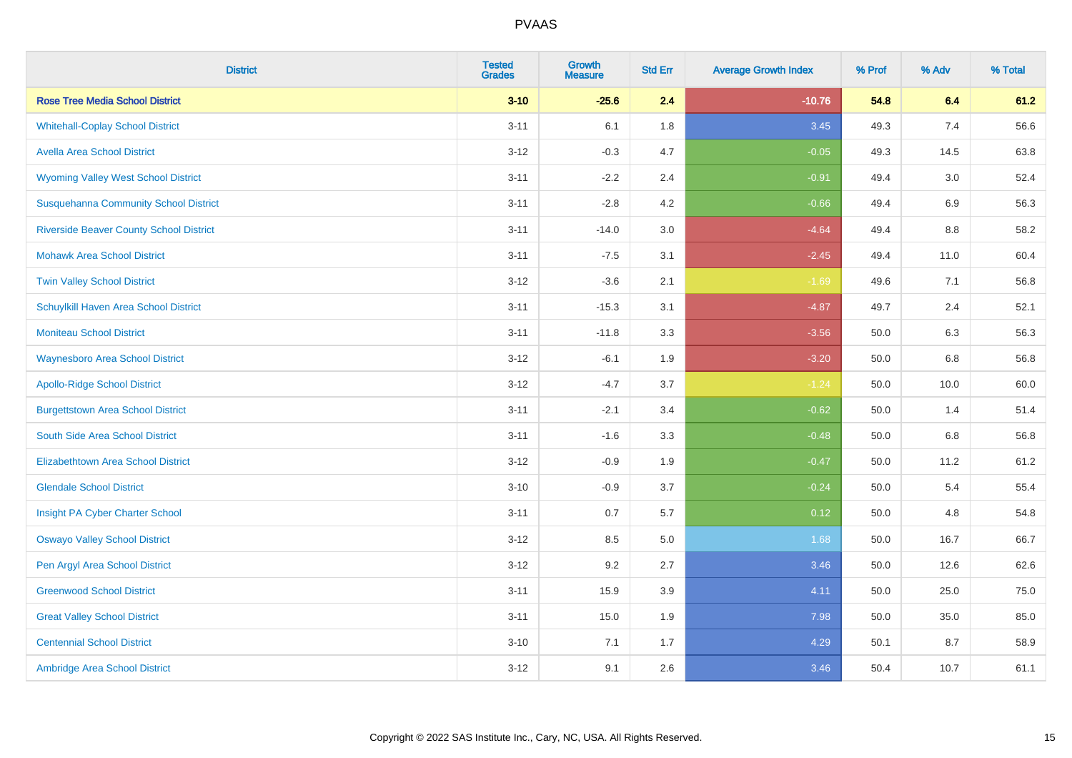| <b>District</b>                                | <b>Tested</b><br><b>Grades</b> | <b>Growth</b><br><b>Measure</b> | <b>Std Err</b> | <b>Average Growth Index</b> | % Prof | % Adv | % Total |
|------------------------------------------------|--------------------------------|---------------------------------|----------------|-----------------------------|--------|-------|---------|
| <b>Rose Tree Media School District</b>         | $3 - 10$                       | $-25.6$                         | 2.4            | $-10.76$                    | 54.8   | 6.4   | 61.2    |
| <b>Whitehall-Coplay School District</b>        | $3 - 11$                       | 6.1                             | 1.8            | 3.45                        | 49.3   | 7.4   | 56.6    |
| <b>Avella Area School District</b>             | $3 - 12$                       | $-0.3$                          | 4.7            | $-0.05$                     | 49.3   | 14.5  | 63.8    |
| <b>Wyoming Valley West School District</b>     | $3 - 11$                       | $-2.2$                          | 2.4            | $-0.91$                     | 49.4   | 3.0   | 52.4    |
| <b>Susquehanna Community School District</b>   | $3 - 11$                       | $-2.8$                          | 4.2            | $-0.66$                     | 49.4   | 6.9   | 56.3    |
| <b>Riverside Beaver County School District</b> | $3 - 11$                       | $-14.0$                         | 3.0            | $-4.64$                     | 49.4   | 8.8   | 58.2    |
| <b>Mohawk Area School District</b>             | $3 - 11$                       | $-7.5$                          | 3.1            | $-2.45$                     | 49.4   | 11.0  | 60.4    |
| <b>Twin Valley School District</b>             | $3 - 12$                       | $-3.6$                          | 2.1            | $-1.69$                     | 49.6   | 7.1   | 56.8    |
| Schuylkill Haven Area School District          | $3 - 11$                       | $-15.3$                         | 3.1            | $-4.87$                     | 49.7   | 2.4   | 52.1    |
| Moniteau School District                       | $3 - 11$                       | $-11.8$                         | 3.3            | $-3.56$                     | 50.0   | 6.3   | 56.3    |
| <b>Waynesboro Area School District</b>         | $3 - 12$                       | $-6.1$                          | 1.9            | $-3.20$                     | 50.0   | 6.8   | 56.8    |
| <b>Apollo-Ridge School District</b>            | $3 - 12$                       | $-4.7$                          | 3.7            | $-1.24$                     | 50.0   | 10.0  | 60.0    |
| <b>Burgettstown Area School District</b>       | $3 - 11$                       | $-2.1$                          | 3.4            | $-0.62$                     | 50.0   | 1.4   | 51.4    |
| South Side Area School District                | $3 - 11$                       | $-1.6$                          | 3.3            | $-0.48$                     | 50.0   | 6.8   | 56.8    |
| <b>Elizabethtown Area School District</b>      | $3 - 12$                       | $-0.9$                          | 1.9            | $-0.47$                     | 50.0   | 11.2  | 61.2    |
| <b>Glendale School District</b>                | $3 - 10$                       | $-0.9$                          | 3.7            | $-0.24$                     | 50.0   | 5.4   | 55.4    |
| Insight PA Cyber Charter School                | $3 - 11$                       | 0.7                             | 5.7            | 0.12                        | 50.0   | 4.8   | 54.8    |
| <b>Oswayo Valley School District</b>           | $3 - 12$                       | 8.5                             | 5.0            | 1.68                        | 50.0   | 16.7  | 66.7    |
| Pen Argyl Area School District                 | $3 - 12$                       | 9.2                             | 2.7            | 3.46                        | 50.0   | 12.6  | 62.6    |
| <b>Greenwood School District</b>               | $3 - 11$                       | 15.9                            | 3.9            | 4.11                        | 50.0   | 25.0  | 75.0    |
| <b>Great Valley School District</b>            | $3 - 11$                       | 15.0                            | 1.9            | 7.98                        | 50.0   | 35.0  | 85.0    |
| <b>Centennial School District</b>              | $3 - 10$                       | 7.1                             | 1.7            | 4.29                        | 50.1   | 8.7   | 58.9    |
| Ambridge Area School District                  | $3 - 12$                       | 9.1                             | 2.6            | 3.46                        | 50.4   | 10.7  | 61.1    |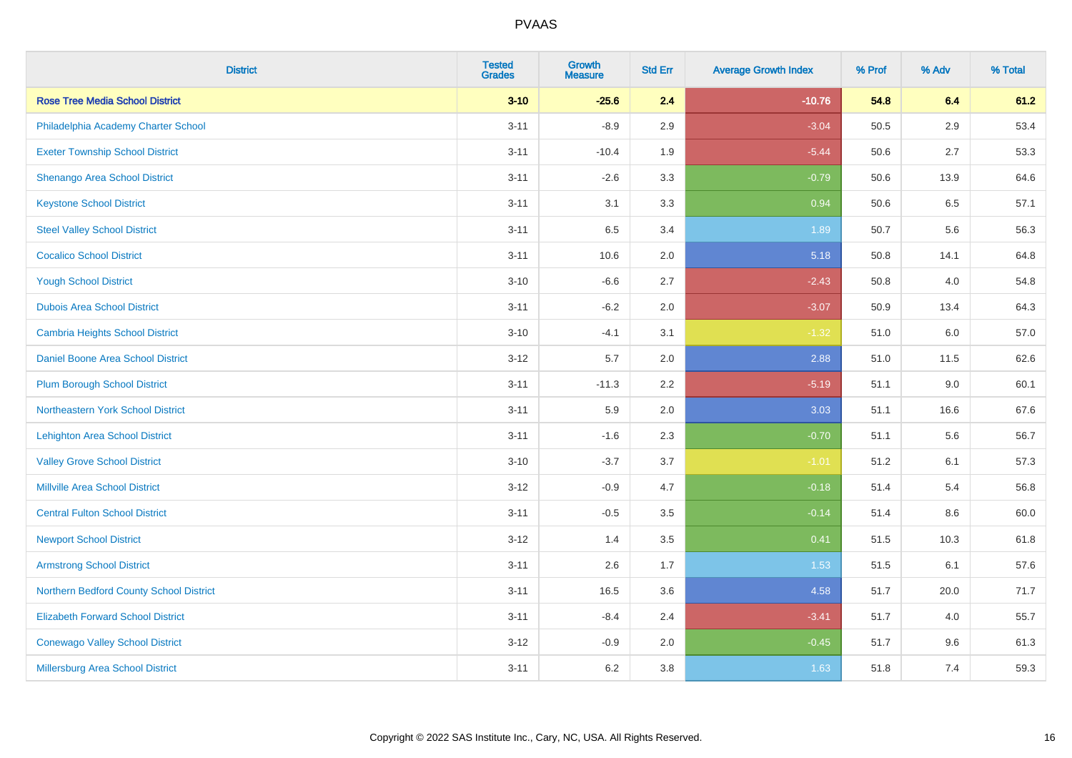| <b>District</b>                          | <b>Tested</b><br><b>Grades</b> | Growth<br><b>Measure</b> | <b>Std Err</b> | <b>Average Growth Index</b> | % Prof | % Adv | % Total |
|------------------------------------------|--------------------------------|--------------------------|----------------|-----------------------------|--------|-------|---------|
| <b>Rose Tree Media School District</b>   | $3 - 10$                       | $-25.6$                  | 2.4            | $-10.76$                    | 54.8   | 6.4   | 61.2    |
| Philadelphia Academy Charter School      | $3 - 11$                       | $-8.9$                   | 2.9            | $-3.04$                     | 50.5   | 2.9   | 53.4    |
| <b>Exeter Township School District</b>   | $3 - 11$                       | $-10.4$                  | 1.9            | $-5.44$                     | 50.6   | 2.7   | 53.3    |
| Shenango Area School District            | $3 - 11$                       | $-2.6$                   | 3.3            | $-0.79$                     | 50.6   | 13.9  | 64.6    |
| <b>Keystone School District</b>          | $3 - 11$                       | 3.1                      | 3.3            | 0.94                        | 50.6   | 6.5   | 57.1    |
| <b>Steel Valley School District</b>      | $3 - 11$                       | 6.5                      | 3.4            | 1.89                        | 50.7   | 5.6   | 56.3    |
| <b>Cocalico School District</b>          | $3 - 11$                       | 10.6                     | 2.0            | 5.18                        | 50.8   | 14.1  | 64.8    |
| <b>Yough School District</b>             | $3 - 10$                       | $-6.6$                   | 2.7            | $-2.43$                     | 50.8   | 4.0   | 54.8    |
| <b>Dubois Area School District</b>       | $3 - 11$                       | $-6.2$                   | 2.0            | $-3.07$                     | 50.9   | 13.4  | 64.3    |
| <b>Cambria Heights School District</b>   | $3 - 10$                       | $-4.1$                   | 3.1            | $-1.32$                     | 51.0   | 6.0   | 57.0    |
| Daniel Boone Area School District        | $3 - 12$                       | 5.7                      | 2.0            | 2.88                        | 51.0   | 11.5  | 62.6    |
| <b>Plum Borough School District</b>      | $3 - 11$                       | $-11.3$                  | 2.2            | $-5.19$                     | 51.1   | 9.0   | 60.1    |
| Northeastern York School District        | $3 - 11$                       | 5.9                      | 2.0            | 3.03                        | 51.1   | 16.6  | 67.6    |
| <b>Lehighton Area School District</b>    | $3 - 11$                       | $-1.6$                   | 2.3            | $-0.70$                     | 51.1   | 5.6   | 56.7    |
| <b>Valley Grove School District</b>      | $3 - 10$                       | $-3.7$                   | 3.7            | $-1.01$                     | 51.2   | 6.1   | 57.3    |
| <b>Millville Area School District</b>    | $3 - 12$                       | $-0.9$                   | 4.7            | $-0.18$                     | 51.4   | 5.4   | 56.8    |
| <b>Central Fulton School District</b>    | $3 - 11$                       | $-0.5$                   | 3.5            | $-0.14$                     | 51.4   | 8.6   | 60.0    |
| <b>Newport School District</b>           | $3 - 12$                       | 1.4                      | 3.5            | 0.41                        | 51.5   | 10.3  | 61.8    |
| <b>Armstrong School District</b>         | $3 - 11$                       | 2.6                      | 1.7            | 1.53                        | 51.5   | 6.1   | 57.6    |
| Northern Bedford County School District  | $3 - 11$                       | 16.5                     | 3.6            | 4.58                        | 51.7   | 20.0  | 71.7    |
| <b>Elizabeth Forward School District</b> | $3 - 11$                       | $-8.4$                   | 2.4            | $-3.41$                     | 51.7   | 4.0   | 55.7    |
| <b>Conewago Valley School District</b>   | $3 - 12$                       | $-0.9$                   | 2.0            | $-0.45$                     | 51.7   | 9.6   | 61.3    |
| Millersburg Area School District         | $3 - 11$                       | $6.2\,$                  | 3.8            | 1.63                        | 51.8   | 7.4   | 59.3    |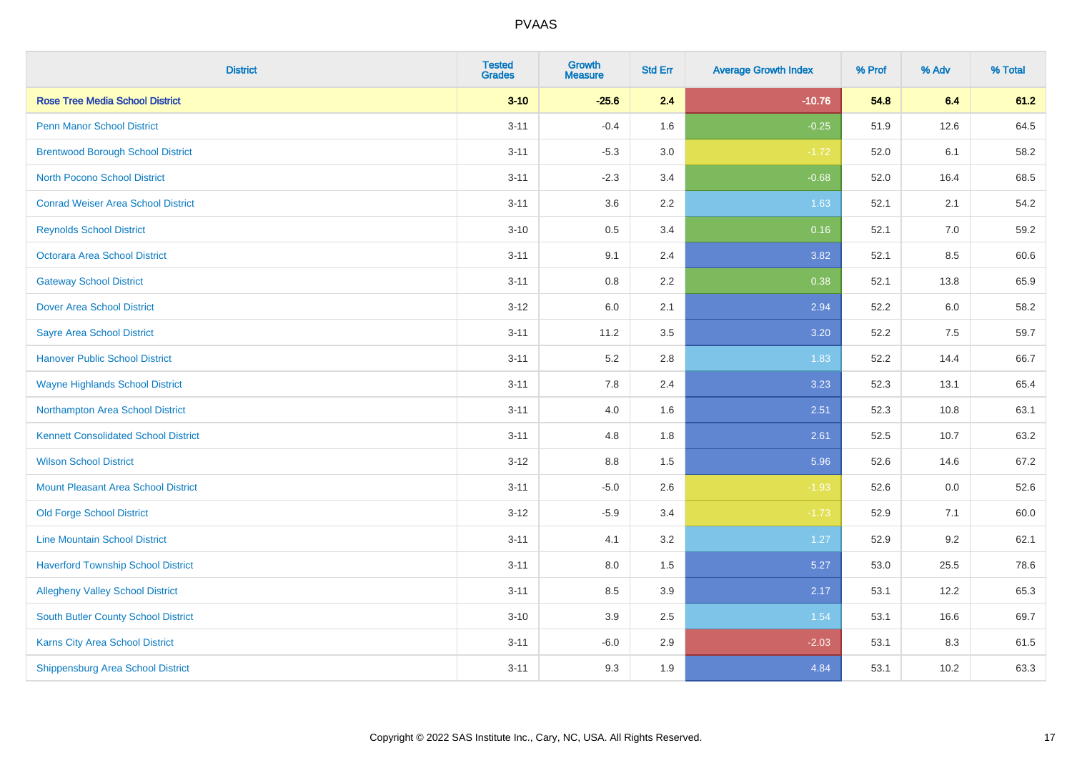| <b>District</b>                             | <b>Tested</b><br><b>Grades</b> | <b>Growth</b><br><b>Measure</b> | <b>Std Err</b> | <b>Average Growth Index</b> | % Prof | % Adv | % Total |
|---------------------------------------------|--------------------------------|---------------------------------|----------------|-----------------------------|--------|-------|---------|
| <b>Rose Tree Media School District</b>      | $3 - 10$                       | $-25.6$                         | 2.4            | $-10.76$                    | 54.8   | 6.4   | 61.2    |
| <b>Penn Manor School District</b>           | $3 - 11$                       | $-0.4$                          | 1.6            | $-0.25$                     | 51.9   | 12.6  | 64.5    |
| <b>Brentwood Borough School District</b>    | $3 - 11$                       | $-5.3$                          | 3.0            | $-1.72$                     | 52.0   | 6.1   | 58.2    |
| <b>North Pocono School District</b>         | $3 - 11$                       | $-2.3$                          | 3.4            | $-0.68$                     | 52.0   | 16.4  | 68.5    |
| <b>Conrad Weiser Area School District</b>   | $3 - 11$                       | 3.6                             | 2.2            | 1.63                        | 52.1   | 2.1   | 54.2    |
| <b>Reynolds School District</b>             | $3 - 10$                       | 0.5                             | 3.4            | 0.16                        | 52.1   | 7.0   | 59.2    |
| Octorara Area School District               | $3 - 11$                       | 9.1                             | 2.4            | 3.82                        | 52.1   | 8.5   | 60.6    |
| <b>Gateway School District</b>              | $3 - 11$                       | $0.8\,$                         | 2.2            | 0.38                        | 52.1   | 13.8  | 65.9    |
| <b>Dover Area School District</b>           | $3 - 12$                       | 6.0                             | 2.1            | 2.94                        | 52.2   | 6.0   | 58.2    |
| <b>Sayre Area School District</b>           | $3 - 11$                       | 11.2                            | 3.5            | 3.20                        | 52.2   | 7.5   | 59.7    |
| <b>Hanover Public School District</b>       | $3 - 11$                       | 5.2                             | 2.8            | 1.83                        | 52.2   | 14.4  | 66.7    |
| <b>Wayne Highlands School District</b>      | $3 - 11$                       | 7.8                             | 2.4            | 3.23                        | 52.3   | 13.1  | 65.4    |
| Northampton Area School District            | $3 - 11$                       | 4.0                             | 1.6            | 2.51                        | 52.3   | 10.8  | 63.1    |
| <b>Kennett Consolidated School District</b> | $3 - 11$                       | 4.8                             | 1.8            | 2.61                        | 52.5   | 10.7  | 63.2    |
| <b>Wilson School District</b>               | $3 - 12$                       | $8.8\,$                         | 1.5            | 5.96                        | 52.6   | 14.6  | 67.2    |
| <b>Mount Pleasant Area School District</b>  | $3 - 11$                       | $-5.0$                          | 2.6            | $-1.93$                     | 52.6   | 0.0   | 52.6    |
| <b>Old Forge School District</b>            | $3 - 12$                       | $-5.9$                          | 3.4            | $-1.73$                     | 52.9   | 7.1   | 60.0    |
| <b>Line Mountain School District</b>        | $3 - 11$                       | 4.1                             | 3.2            | 1.27                        | 52.9   | 9.2   | 62.1    |
| <b>Haverford Township School District</b>   | $3 - 11$                       | $8.0\,$                         | 1.5            | 5.27                        | 53.0   | 25.5  | 78.6    |
| <b>Allegheny Valley School District</b>     | $3 - 11$                       | 8.5                             | 3.9            | 2.17                        | 53.1   | 12.2  | 65.3    |
| South Butler County School District         | $3 - 10$                       | 3.9                             | 2.5            | 1.54                        | 53.1   | 16.6  | 69.7    |
| Karns City Area School District             | $3 - 11$                       | $-6.0$                          | 2.9            | $-2.03$                     | 53.1   | 8.3   | 61.5    |
| <b>Shippensburg Area School District</b>    | $3 - 11$                       | 9.3                             | 1.9            | 4.84                        | 53.1   | 10.2  | 63.3    |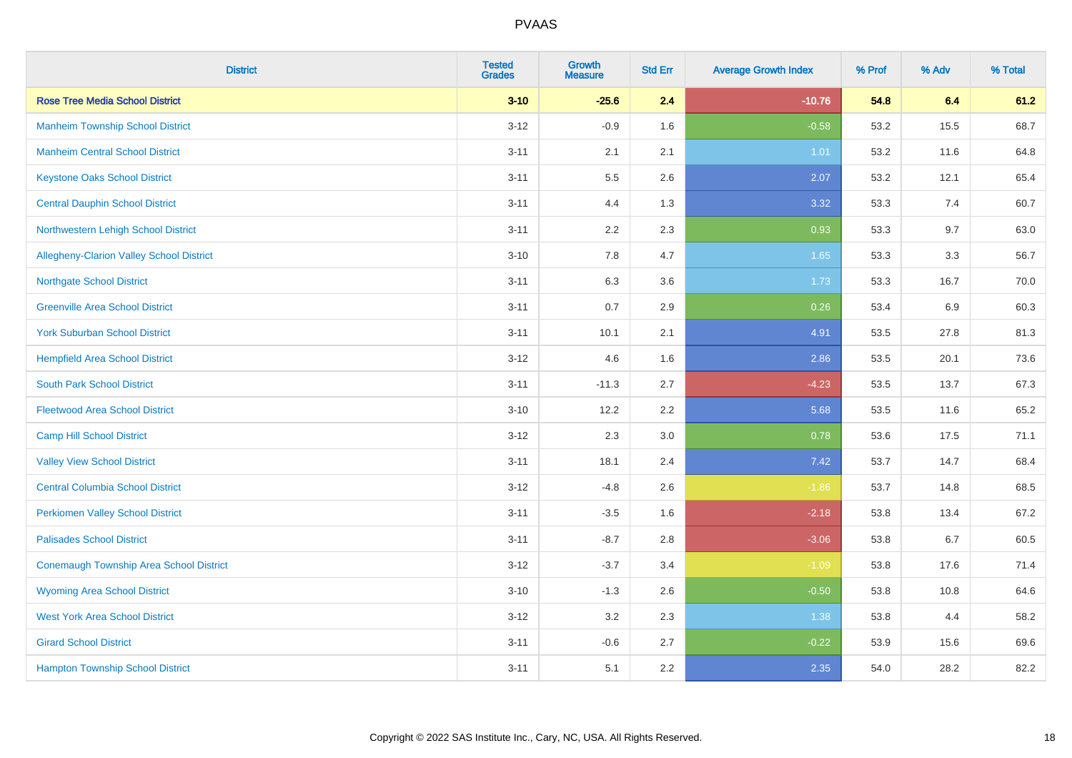| <b>District</b>                                | <b>Tested</b><br><b>Grades</b> | <b>Growth</b><br><b>Measure</b> | <b>Std Err</b> | <b>Average Growth Index</b> | % Prof | % Adv | % Total |
|------------------------------------------------|--------------------------------|---------------------------------|----------------|-----------------------------|--------|-------|---------|
| <b>Rose Tree Media School District</b>         | $3 - 10$                       | $-25.6$                         | 2.4            | $-10.76$                    | 54.8   | 6.4   | 61.2    |
| <b>Manheim Township School District</b>        | $3 - 12$                       | $-0.9$                          | 1.6            | $-0.58$                     | 53.2   | 15.5  | 68.7    |
| <b>Manheim Central School District</b>         | $3 - 11$                       | 2.1                             | 2.1            | 1.01                        | 53.2   | 11.6  | 64.8    |
| <b>Keystone Oaks School District</b>           | $3 - 11$                       | $5.5\,$                         | 2.6            | 2.07                        | 53.2   | 12.1  | 65.4    |
| <b>Central Dauphin School District</b>         | $3 - 11$                       | 4.4                             | 1.3            | 3.32                        | 53.3   | 7.4   | 60.7    |
| Northwestern Lehigh School District            | $3 - 11$                       | 2.2                             | 2.3            | 0.93                        | 53.3   | 9.7   | 63.0    |
| Allegheny-Clarion Valley School District       | $3 - 10$                       | 7.8                             | 4.7            | 1.65                        | 53.3   | 3.3   | 56.7    |
| <b>Northgate School District</b>               | $3 - 11$                       | 6.3                             | 3.6            | 1.73                        | 53.3   | 16.7  | 70.0    |
| <b>Greenville Area School District</b>         | $3 - 11$                       | 0.7                             | 2.9            | 0.26                        | 53.4   | 6.9   | 60.3    |
| <b>York Suburban School District</b>           | $3 - 11$                       | 10.1                            | 2.1            | 4.91                        | 53.5   | 27.8  | 81.3    |
| <b>Hempfield Area School District</b>          | $3 - 12$                       | 4.6                             | 1.6            | 2.86                        | 53.5   | 20.1  | 73.6    |
| <b>South Park School District</b>              | $3 - 11$                       | $-11.3$                         | 2.7            | $-4.23$                     | 53.5   | 13.7  | 67.3    |
| <b>Fleetwood Area School District</b>          | $3 - 10$                       | 12.2                            | 2.2            | 5.68                        | 53.5   | 11.6  | 65.2    |
| <b>Camp Hill School District</b>               | $3 - 12$                       | 2.3                             | 3.0            | 0.78                        | 53.6   | 17.5  | 71.1    |
| <b>Valley View School District</b>             | $3 - 11$                       | 18.1                            | 2.4            | 7.42                        | 53.7   | 14.7  | 68.4    |
| <b>Central Columbia School District</b>        | $3 - 12$                       | $-4.8$                          | 2.6            | $-1.86$                     | 53.7   | 14.8  | 68.5    |
| <b>Perkiomen Valley School District</b>        | $3 - 11$                       | $-3.5$                          | 1.6            | $-2.18$                     | 53.8   | 13.4  | 67.2    |
| <b>Palisades School District</b>               | $3 - 11$                       | $-8.7$                          | 2.8            | $-3.06$                     | 53.8   | 6.7   | 60.5    |
| <b>Conemaugh Township Area School District</b> | $3 - 12$                       | $-3.7$                          | 3.4            | $-1.09$                     | 53.8   | 17.6  | 71.4    |
| <b>Wyoming Area School District</b>            | $3 - 10$                       | $-1.3$                          | 2.6            | $-0.50$                     | 53.8   | 10.8  | 64.6    |
| <b>West York Area School District</b>          | $3 - 12$                       | 3.2                             | 2.3            | 1.38                        | 53.8   | 4.4   | 58.2    |
| <b>Girard School District</b>                  | $3 - 11$                       | $-0.6$                          | 2.7            | $-0.22$                     | 53.9   | 15.6  | 69.6    |
| <b>Hampton Township School District</b>        | $3 - 11$                       | 5.1                             | 2.2            | 2.35                        | 54.0   | 28.2  | 82.2    |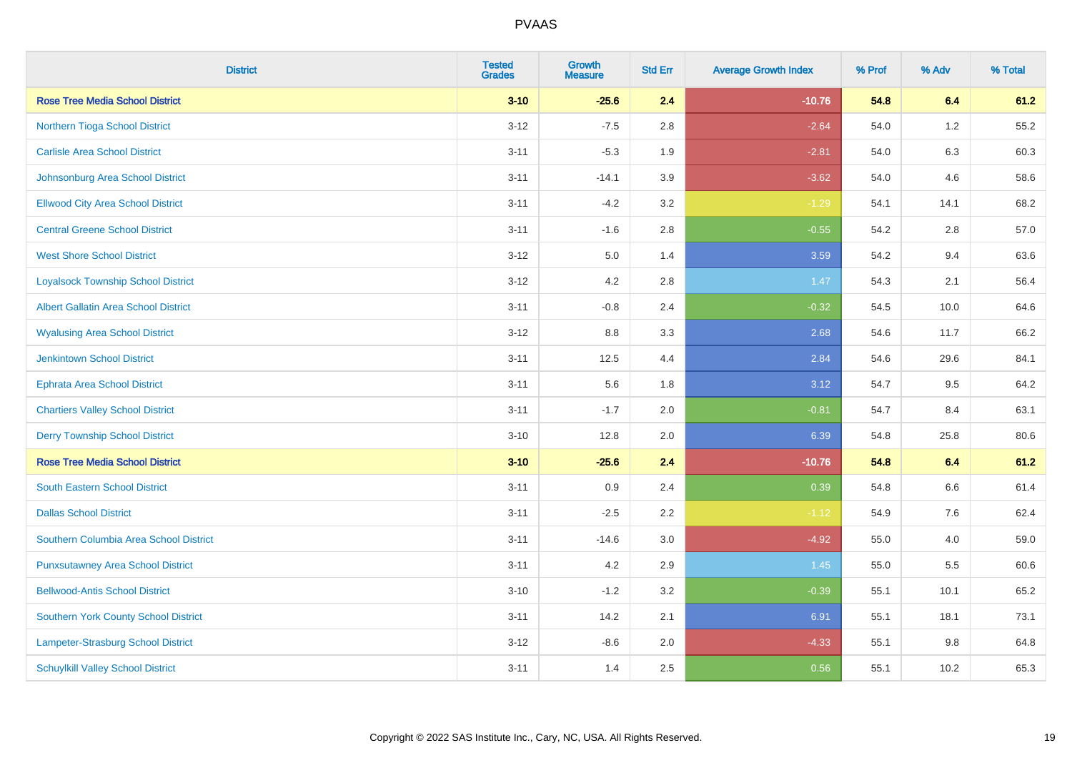| <b>District</b>                             | <b>Tested</b><br><b>Grades</b> | <b>Growth</b><br><b>Measure</b> | <b>Std Err</b> | <b>Average Growth Index</b> | % Prof | % Adv   | % Total |
|---------------------------------------------|--------------------------------|---------------------------------|----------------|-----------------------------|--------|---------|---------|
| <b>Rose Tree Media School District</b>      | $3 - 10$                       | $-25.6$                         | 2.4            | $-10.76$                    | 54.8   | 6.4     | 61.2    |
| Northern Tioga School District              | $3 - 12$                       | $-7.5$                          | 2.8            | $-2.64$                     | 54.0   | $1.2$   | 55.2    |
| <b>Carlisle Area School District</b>        | $3 - 11$                       | $-5.3$                          | 1.9            | $-2.81$                     | 54.0   | 6.3     | 60.3    |
| Johnsonburg Area School District            | $3 - 11$                       | $-14.1$                         | 3.9            | $-3.62$                     | 54.0   | 4.6     | 58.6    |
| <b>Ellwood City Area School District</b>    | $3 - 11$                       | $-4.2$                          | 3.2            | $-1.29$                     | 54.1   | 14.1    | 68.2    |
| <b>Central Greene School District</b>       | $3 - 11$                       | $-1.6$                          | 2.8            | $-0.55$                     | 54.2   | 2.8     | 57.0    |
| <b>West Shore School District</b>           | $3 - 12$                       | 5.0                             | 1.4            | 3.59                        | 54.2   | 9.4     | 63.6    |
| <b>Loyalsock Township School District</b>   | $3 - 12$                       | 4.2                             | 2.8            | 1.47                        | 54.3   | 2.1     | 56.4    |
| <b>Albert Gallatin Area School District</b> | $3 - 11$                       | $-0.8$                          | 2.4            | $-0.32$                     | 54.5   | 10.0    | 64.6    |
| <b>Wyalusing Area School District</b>       | $3 - 12$                       | 8.8                             | 3.3            | 2.68                        | 54.6   | 11.7    | 66.2    |
| <b>Jenkintown School District</b>           | $3 - 11$                       | 12.5                            | 4.4            | 2.84                        | 54.6   | 29.6    | 84.1    |
| <b>Ephrata Area School District</b>         | $3 - 11$                       | 5.6                             | 1.8            | 3.12                        | 54.7   | 9.5     | 64.2    |
| <b>Chartiers Valley School District</b>     | $3 - 11$                       | $-1.7$                          | 2.0            | $-0.81$                     | 54.7   | 8.4     | 63.1    |
| <b>Derry Township School District</b>       | $3 - 10$                       | 12.8                            | 2.0            | 6.39                        | 54.8   | 25.8    | 80.6    |
| <b>Rose Tree Media School District</b>      | $3 - 10$                       | $-25.6$                         | 2.4            | $-10.76$                    | 54.8   | 6.4     | 61.2    |
| <b>South Eastern School District</b>        | $3 - 11$                       | 0.9                             | 2.4            | 0.39                        | 54.8   | $6.6\,$ | 61.4    |
| <b>Dallas School District</b>               | $3 - 11$                       | $-2.5$                          | 2.2            | $-1.12$                     | 54.9   | 7.6     | 62.4    |
| Southern Columbia Area School District      | $3 - 11$                       | $-14.6$                         | 3.0            | $-4.92$                     | 55.0   | 4.0     | 59.0    |
| <b>Punxsutawney Area School District</b>    | $3 - 11$                       | 4.2                             | 2.9            | 1.45                        | 55.0   | 5.5     | 60.6    |
| <b>Bellwood-Antis School District</b>       | $3 - 10$                       | $-1.2$                          | 3.2            | $-0.39$                     | 55.1   | 10.1    | 65.2    |
| <b>Southern York County School District</b> | $3 - 11$                       | 14.2                            | 2.1            | 6.91                        | 55.1   | 18.1    | 73.1    |
| Lampeter-Strasburg School District          | $3 - 12$                       | $-8.6$                          | 2.0            | $-4.33$                     | 55.1   | 9.8     | 64.8    |
| <b>Schuylkill Valley School District</b>    | $3 - 11$                       | 1.4                             | 2.5            | 0.56                        | 55.1   | 10.2    | 65.3    |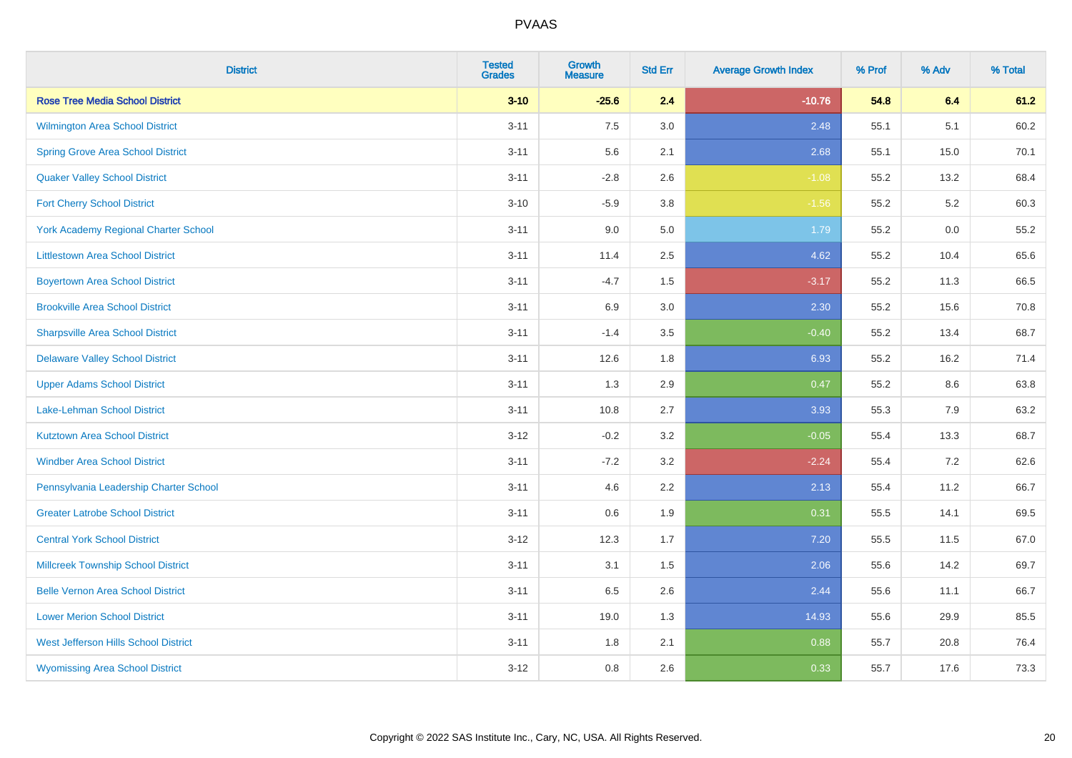| <b>District</b>                             | <b>Tested</b><br><b>Grades</b> | <b>Growth</b><br><b>Measure</b> | <b>Std Err</b> | <b>Average Growth Index</b> | % Prof | % Adv | % Total |
|---------------------------------------------|--------------------------------|---------------------------------|----------------|-----------------------------|--------|-------|---------|
| <b>Rose Tree Media School District</b>      | $3 - 10$                       | $-25.6$                         | 2.4            | $-10.76$                    | 54.8   | 6.4   | 61.2    |
| Wilmington Area School District             | $3 - 11$                       | 7.5                             | 3.0            | 2.48                        | 55.1   | 5.1   | 60.2    |
| <b>Spring Grove Area School District</b>    | $3 - 11$                       | 5.6                             | 2.1            | 2.68                        | 55.1   | 15.0  | 70.1    |
| <b>Quaker Valley School District</b>        | $3 - 11$                       | $-2.8$                          | 2.6            | $-1.08$                     | 55.2   | 13.2  | 68.4    |
| <b>Fort Cherry School District</b>          | $3 - 10$                       | $-5.9$                          | 3.8            | $-1.56$                     | 55.2   | 5.2   | 60.3    |
| <b>York Academy Regional Charter School</b> | $3 - 11$                       | 9.0                             | 5.0            | 1.79                        | 55.2   | 0.0   | 55.2    |
| <b>Littlestown Area School District</b>     | $3 - 11$                       | 11.4                            | 2.5            | 4.62                        | 55.2   | 10.4  | 65.6    |
| <b>Boyertown Area School District</b>       | $3 - 11$                       | $-4.7$                          | 1.5            | $-3.17$                     | 55.2   | 11.3  | 66.5    |
| <b>Brookville Area School District</b>      | $3 - 11$                       | 6.9                             | 3.0            | 2.30                        | 55.2   | 15.6  | 70.8    |
| <b>Sharpsville Area School District</b>     | $3 - 11$                       | $-1.4$                          | 3.5            | $-0.40$                     | 55.2   | 13.4  | 68.7    |
| <b>Delaware Valley School District</b>      | $3 - 11$                       | 12.6                            | 1.8            | 6.93                        | 55.2   | 16.2  | 71.4    |
| <b>Upper Adams School District</b>          | $3 - 11$                       | 1.3                             | 2.9            | 0.47                        | 55.2   | 8.6   | 63.8    |
| Lake-Lehman School District                 | $3 - 11$                       | 10.8                            | 2.7            | 3.93                        | 55.3   | $7.9$ | 63.2    |
| <b>Kutztown Area School District</b>        | $3 - 12$                       | $-0.2$                          | 3.2            | $-0.05$                     | 55.4   | 13.3  | 68.7    |
| <b>Windber Area School District</b>         | $3 - 11$                       | $-7.2$                          | 3.2            | $-2.24$                     | 55.4   | 7.2   | 62.6    |
| Pennsylvania Leadership Charter School      | $3 - 11$                       | 4.6                             | 2.2            | 2.13                        | 55.4   | 11.2  | 66.7    |
| <b>Greater Latrobe School District</b>      | $3 - 11$                       | 0.6                             | 1.9            | 0.31                        | 55.5   | 14.1  | 69.5    |
| <b>Central York School District</b>         | $3 - 12$                       | 12.3                            | 1.7            | 7.20                        | 55.5   | 11.5  | 67.0    |
| <b>Millcreek Township School District</b>   | $3 - 11$                       | 3.1                             | 1.5            | 2.06                        | 55.6   | 14.2  | 69.7    |
| <b>Belle Vernon Area School District</b>    | $3 - 11$                       | 6.5                             | 2.6            | 2.44                        | 55.6   | 11.1  | 66.7    |
| <b>Lower Merion School District</b>         | $3 - 11$                       | 19.0                            | 1.3            | 14.93                       | 55.6   | 29.9  | 85.5    |
| West Jefferson Hills School District        | $3 - 11$                       | 1.8                             | 2.1            | 0.88                        | 55.7   | 20.8  | 76.4    |
| <b>Wyomissing Area School District</b>      | $3 - 12$                       | 0.8                             | 2.6            | 0.33                        | 55.7   | 17.6  | 73.3    |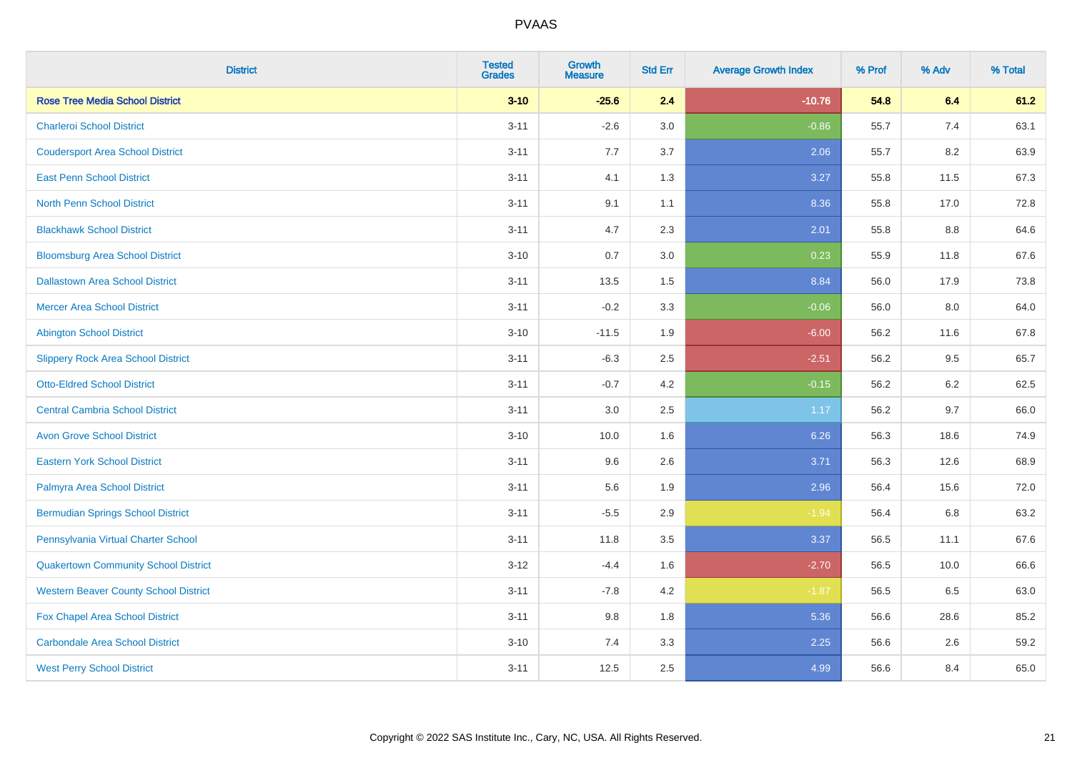| <b>District</b>                              | <b>Tested</b><br><b>Grades</b> | <b>Growth</b><br><b>Measure</b> | <b>Std Err</b> | <b>Average Growth Index</b> | % Prof | % Adv | % Total |
|----------------------------------------------|--------------------------------|---------------------------------|----------------|-----------------------------|--------|-------|---------|
| <b>Rose Tree Media School District</b>       | $3 - 10$                       | $-25.6$                         | 2.4            | $-10.76$                    | 54.8   | 6.4   | 61.2    |
| <b>Charleroi School District</b>             | $3 - 11$                       | $-2.6$                          | 3.0            | $-0.86$                     | 55.7   | 7.4   | 63.1    |
| <b>Coudersport Area School District</b>      | $3 - 11$                       | 7.7                             | 3.7            | 2.06                        | 55.7   | 8.2   | 63.9    |
| <b>East Penn School District</b>             | $3 - 11$                       | 4.1                             | 1.3            | 3.27                        | 55.8   | 11.5  | 67.3    |
| <b>North Penn School District</b>            | $3 - 11$                       | 9.1                             | 1.1            | 8.36                        | 55.8   | 17.0  | 72.8    |
| <b>Blackhawk School District</b>             | $3 - 11$                       | 4.7                             | 2.3            | 2.01                        | 55.8   | 8.8   | 64.6    |
| <b>Bloomsburg Area School District</b>       | $3 - 10$                       | 0.7                             | 3.0            | 0.23                        | 55.9   | 11.8  | 67.6    |
| <b>Dallastown Area School District</b>       | $3 - 11$                       | 13.5                            | 1.5            | 8.84                        | 56.0   | 17.9  | 73.8    |
| <b>Mercer Area School District</b>           | $3 - 11$                       | $-0.2$                          | 3.3            | $-0.06$                     | 56.0   | 8.0   | 64.0    |
| <b>Abington School District</b>              | $3 - 10$                       | $-11.5$                         | 1.9            | $-6.00$                     | 56.2   | 11.6  | 67.8    |
| <b>Slippery Rock Area School District</b>    | $3 - 11$                       | $-6.3$                          | 2.5            | $-2.51$                     | 56.2   | 9.5   | 65.7    |
| <b>Otto-Eldred School District</b>           | $3 - 11$                       | $-0.7$                          | 4.2            | $-0.15$                     | 56.2   | 6.2   | 62.5    |
| <b>Central Cambria School District</b>       | $3 - 11$                       | $3.0\,$                         | 2.5            | 1.17                        | 56.2   | 9.7   | 66.0    |
| <b>Avon Grove School District</b>            | $3 - 10$                       | 10.0                            | 1.6            | 6.26                        | 56.3   | 18.6  | 74.9    |
| <b>Eastern York School District</b>          | $3 - 11$                       | 9.6                             | 2.6            | 3.71                        | 56.3   | 12.6  | 68.9    |
| Palmyra Area School District                 | $3 - 11$                       | 5.6                             | 1.9            | 2.96                        | 56.4   | 15.6  | 72.0    |
| <b>Bermudian Springs School District</b>     | $3 - 11$                       | $-5.5$                          | 2.9            | $-1.94$                     | 56.4   | 6.8   | 63.2    |
| Pennsylvania Virtual Charter School          | $3 - 11$                       | 11.8                            | 3.5            | 3.37                        | 56.5   | 11.1  | 67.6    |
| <b>Quakertown Community School District</b>  | $3 - 12$                       | $-4.4$                          | 1.6            | $-2.70$                     | 56.5   | 10.0  | 66.6    |
| <b>Western Beaver County School District</b> | $3 - 11$                       | $-7.8$                          | 4.2            | $-1.87$                     | 56.5   | 6.5   | 63.0    |
| Fox Chapel Area School District              | $3 - 11$                       | 9.8                             | 1.8            | 5.36                        | 56.6   | 28.6  | 85.2    |
| <b>Carbondale Area School District</b>       | $3 - 10$                       | 7.4                             | 3.3            | 2.25                        | 56.6   | 2.6   | 59.2    |
| <b>West Perry School District</b>            | $3 - 11$                       | 12.5                            | 2.5            | 4.99                        | 56.6   | 8.4   | 65.0    |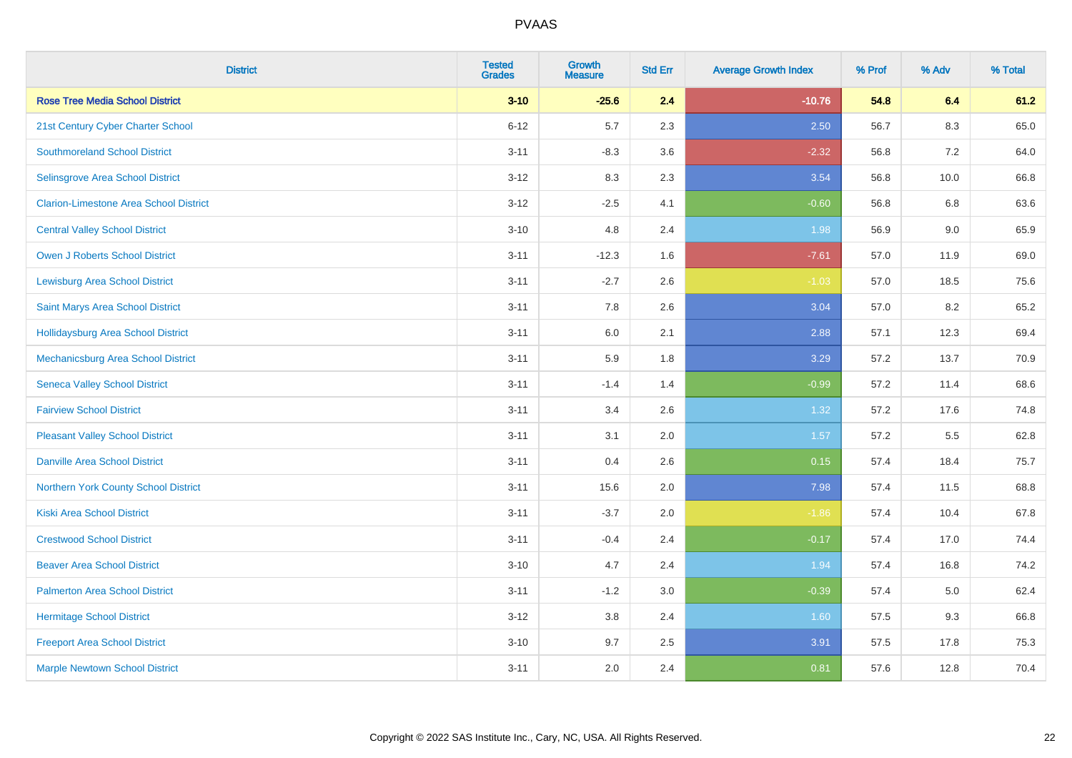| <b>District</b>                               | <b>Tested</b><br><b>Grades</b> | <b>Growth</b><br><b>Measure</b> | <b>Std Err</b> | <b>Average Growth Index</b> | % Prof | % Adv   | % Total |
|-----------------------------------------------|--------------------------------|---------------------------------|----------------|-----------------------------|--------|---------|---------|
| <b>Rose Tree Media School District</b>        | $3 - 10$                       | $-25.6$                         | 2.4            | $-10.76$                    | 54.8   | 6.4     | 61.2    |
| 21st Century Cyber Charter School             | $6 - 12$                       | 5.7                             | 2.3            | 2.50                        | 56.7   | $8.3\,$ | 65.0    |
| <b>Southmoreland School District</b>          | $3 - 11$                       | $-8.3$                          | 3.6            | $-2.32$                     | 56.8   | 7.2     | 64.0    |
| Selinsgrove Area School District              | $3 - 12$                       | 8.3                             | 2.3            | 3.54                        | 56.8   | 10.0    | 66.8    |
| <b>Clarion-Limestone Area School District</b> | $3 - 12$                       | $-2.5$                          | 4.1            | $-0.60$                     | 56.8   | 6.8     | 63.6    |
| <b>Central Valley School District</b>         | $3 - 10$                       | 4.8                             | 2.4            | 1.98                        | 56.9   | 9.0     | 65.9    |
| Owen J Roberts School District                | $3 - 11$                       | $-12.3$                         | 1.6            | $-7.61$                     | 57.0   | 11.9    | 69.0    |
| <b>Lewisburg Area School District</b>         | $3 - 11$                       | $-2.7$                          | 2.6            | $-1.03$                     | 57.0   | 18.5    | 75.6    |
| Saint Marys Area School District              | $3 - 11$                       | 7.8                             | 2.6            | 3.04                        | 57.0   | 8.2     | 65.2    |
| <b>Hollidaysburg Area School District</b>     | $3 - 11$                       | 6.0                             | 2.1            | 2.88                        | 57.1   | 12.3    | 69.4    |
| Mechanicsburg Area School District            | $3 - 11$                       | 5.9                             | 1.8            | 3.29                        | 57.2   | 13.7    | 70.9    |
| <b>Seneca Valley School District</b>          | $3 - 11$                       | $-1.4$                          | 1.4            | $-0.99$                     | 57.2   | 11.4    | 68.6    |
| <b>Fairview School District</b>               | $3 - 11$                       | 3.4                             | 2.6            | 1.32                        | 57.2   | 17.6    | 74.8    |
| <b>Pleasant Valley School District</b>        | $3 - 11$                       | 3.1                             | 2.0            | 1.57                        | 57.2   | 5.5     | 62.8    |
| <b>Danville Area School District</b>          | $3 - 11$                       | 0.4                             | 2.6            | 0.15                        | 57.4   | 18.4    | 75.7    |
| Northern York County School District          | $3 - 11$                       | 15.6                            | 2.0            | 7.98                        | 57.4   | 11.5    | 68.8    |
| <b>Kiski Area School District</b>             | $3 - 11$                       | $-3.7$                          | 2.0            | $-1.86$                     | 57.4   | 10.4    | 67.8    |
| <b>Crestwood School District</b>              | $3 - 11$                       | $-0.4$                          | 2.4            | $-0.17$                     | 57.4   | 17.0    | 74.4    |
| <b>Beaver Area School District</b>            | $3 - 10$                       | 4.7                             | 2.4            | 1.94                        | 57.4   | 16.8    | 74.2    |
| <b>Palmerton Area School District</b>         | $3 - 11$                       | $-1.2$                          | 3.0            | $-0.39$                     | 57.4   | 5.0     | 62.4    |
| <b>Hermitage School District</b>              | $3 - 12$                       | 3.8                             | 2.4            | 1.60                        | 57.5   | 9.3     | 66.8    |
| <b>Freeport Area School District</b>          | $3 - 10$                       | 9.7                             | 2.5            | 3.91                        | 57.5   | 17.8    | 75.3    |
| <b>Marple Newtown School District</b>         | $3 - 11$                       | 2.0                             | 2.4            | 0.81                        | 57.6   | 12.8    | 70.4    |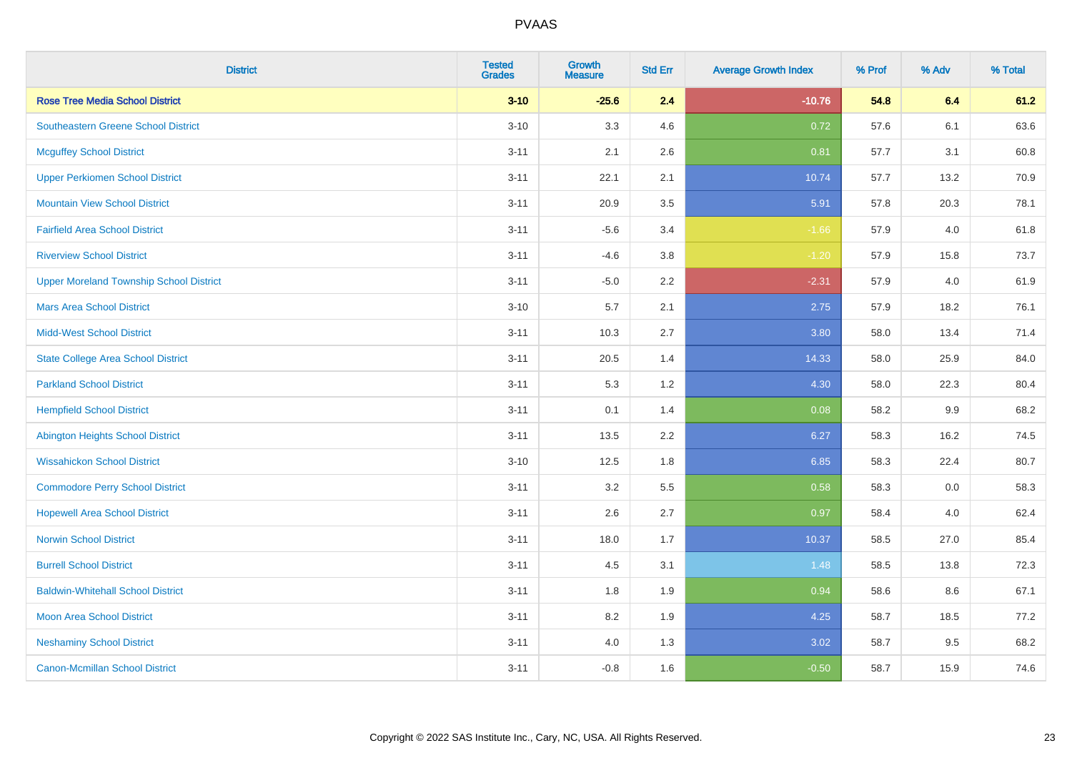| <b>District</b>                                | <b>Tested</b><br><b>Grades</b> | <b>Growth</b><br><b>Measure</b> | <b>Std Err</b> | <b>Average Growth Index</b> | % Prof | % Adv   | % Total |
|------------------------------------------------|--------------------------------|---------------------------------|----------------|-----------------------------|--------|---------|---------|
| <b>Rose Tree Media School District</b>         | $3 - 10$                       | $-25.6$                         | 2.4            | $-10.76$                    | 54.8   | 6.4     | 61.2    |
| <b>Southeastern Greene School District</b>     | $3 - 10$                       | 3.3                             | 4.6            | 0.72                        | 57.6   | 6.1     | 63.6    |
| <b>Mcguffey School District</b>                | $3 - 11$                       | 2.1                             | 2.6            | 0.81                        | 57.7   | 3.1     | 60.8    |
| <b>Upper Perkiomen School District</b>         | $3 - 11$                       | 22.1                            | 2.1            | 10.74                       | 57.7   | 13.2    | 70.9    |
| <b>Mountain View School District</b>           | $3 - 11$                       | 20.9                            | 3.5            | 5.91                        | 57.8   | 20.3    | 78.1    |
| <b>Fairfield Area School District</b>          | $3 - 11$                       | $-5.6$                          | 3.4            | $-1.66$                     | 57.9   | 4.0     | 61.8    |
| <b>Riverview School District</b>               | $3 - 11$                       | $-4.6$                          | 3.8            | $-1.20$                     | 57.9   | 15.8    | 73.7    |
| <b>Upper Moreland Township School District</b> | $3 - 11$                       | $-5.0$                          | 2.2            | $-2.31$                     | 57.9   | 4.0     | 61.9    |
| <b>Mars Area School District</b>               | $3 - 10$                       | 5.7                             | 2.1            | 2.75                        | 57.9   | 18.2    | 76.1    |
| <b>Midd-West School District</b>               | $3 - 11$                       | 10.3                            | 2.7            | 3.80                        | 58.0   | 13.4    | 71.4    |
| <b>State College Area School District</b>      | $3 - 11$                       | 20.5                            | 1.4            | 14.33                       | 58.0   | 25.9    | 84.0    |
| <b>Parkland School District</b>                | $3 - 11$                       | 5.3                             | 1.2            | 4.30                        | 58.0   | 22.3    | 80.4    |
| <b>Hempfield School District</b>               | $3 - 11$                       | 0.1                             | 1.4            | 0.08                        | 58.2   | $9.9\,$ | 68.2    |
| <b>Abington Heights School District</b>        | $3 - 11$                       | 13.5                            | 2.2            | 6.27                        | 58.3   | 16.2    | 74.5    |
| <b>Wissahickon School District</b>             | $3 - 10$                       | 12.5                            | 1.8            | 6.85                        | 58.3   | 22.4    | 80.7    |
| <b>Commodore Perry School District</b>         | $3 - 11$                       | 3.2                             | 5.5            | 0.58                        | 58.3   | 0.0     | 58.3    |
| <b>Hopewell Area School District</b>           | $3 - 11$                       | 2.6                             | 2.7            | 0.97                        | 58.4   | 4.0     | 62.4    |
| <b>Norwin School District</b>                  | $3 - 11$                       | 18.0                            | 1.7            | 10.37                       | 58.5   | 27.0    | 85.4    |
| <b>Burrell School District</b>                 | $3 - 11$                       | 4.5                             | 3.1            | 1.48                        | 58.5   | 13.8    | 72.3    |
| <b>Baldwin-Whitehall School District</b>       | $3 - 11$                       | 1.8                             | 1.9            | 0.94                        | 58.6   | 8.6     | 67.1    |
| <b>Moon Area School District</b>               | $3 - 11$                       | 8.2                             | 1.9            | 4.25                        | 58.7   | 18.5    | 77.2    |
| <b>Neshaminy School District</b>               | $3 - 11$                       | 4.0                             | 1.3            | 3.02                        | 58.7   | 9.5     | 68.2    |
| <b>Canon-Mcmillan School District</b>          | $3 - 11$                       | $-0.8$                          | 1.6            | $-0.50$                     | 58.7   | 15.9    | 74.6    |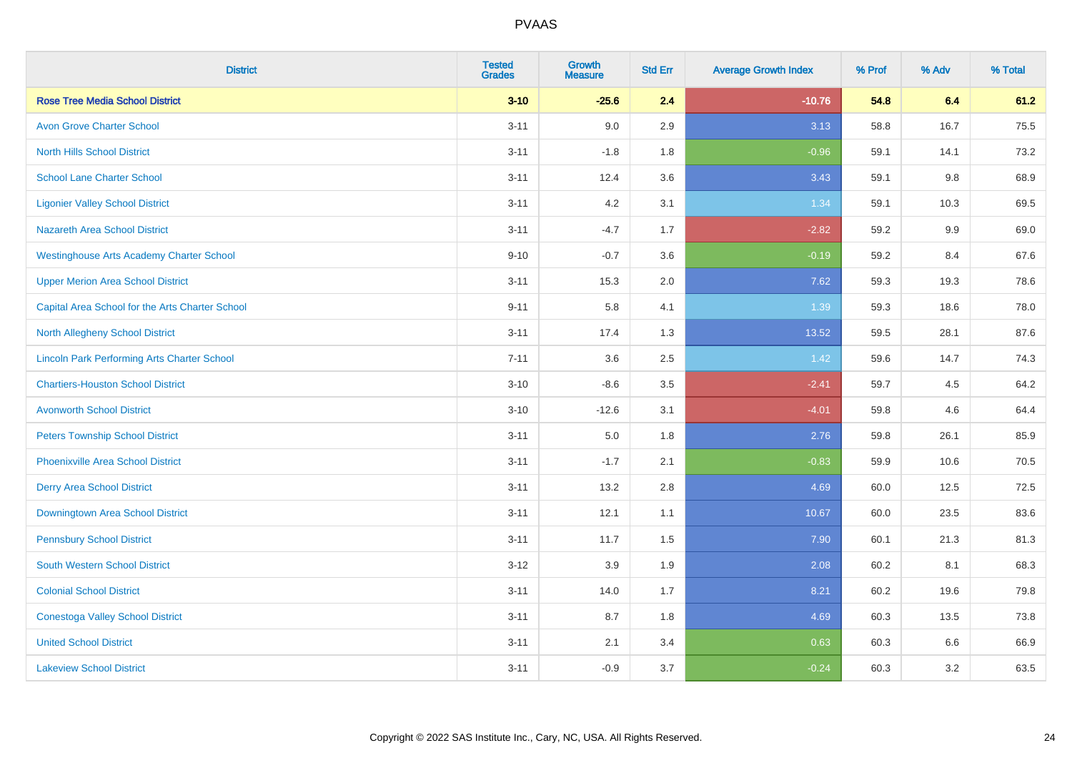| <b>District</b>                                    | <b>Tested</b><br><b>Grades</b> | Growth<br><b>Measure</b> | <b>Std Err</b> | <b>Average Growth Index</b> | % Prof | % Adv | % Total |
|----------------------------------------------------|--------------------------------|--------------------------|----------------|-----------------------------|--------|-------|---------|
| <b>Rose Tree Media School District</b>             | $3 - 10$                       | $-25.6$                  | 2.4            | $-10.76$                    | 54.8   | 6.4   | 61.2    |
| <b>Avon Grove Charter School</b>                   | $3 - 11$                       | 9.0                      | 2.9            | 3.13                        | 58.8   | 16.7  | 75.5    |
| <b>North Hills School District</b>                 | $3 - 11$                       | $-1.8$                   | 1.8            | $-0.96$                     | 59.1   | 14.1  | 73.2    |
| <b>School Lane Charter School</b>                  | $3 - 11$                       | 12.4                     | 3.6            | 3.43                        | 59.1   | 9.8   | 68.9    |
| <b>Ligonier Valley School District</b>             | $3 - 11$                       | 4.2                      | 3.1            | 1.34                        | 59.1   | 10.3  | 69.5    |
| <b>Nazareth Area School District</b>               | $3 - 11$                       | $-4.7$                   | 1.7            | $-2.82$                     | 59.2   | 9.9   | 69.0    |
| <b>Westinghouse Arts Academy Charter School</b>    | $9 - 10$                       | $-0.7$                   | 3.6            | $-0.19$                     | 59.2   | 8.4   | 67.6    |
| <b>Upper Merion Area School District</b>           | $3 - 11$                       | 15.3                     | 2.0            | 7.62                        | 59.3   | 19.3  | 78.6    |
| Capital Area School for the Arts Charter School    | $9 - 11$                       | 5.8                      | 4.1            | 1.39                        | 59.3   | 18.6  | 78.0    |
| <b>North Allegheny School District</b>             | $3 - 11$                       | 17.4                     | 1.3            | 13.52                       | 59.5   | 28.1  | 87.6    |
| <b>Lincoln Park Performing Arts Charter School</b> | $7 - 11$                       | 3.6                      | 2.5            | 1.42                        | 59.6   | 14.7  | 74.3    |
| <b>Chartiers-Houston School District</b>           | $3 - 10$                       | $-8.6$                   | 3.5            | $-2.41$                     | 59.7   | 4.5   | 64.2    |
| <b>Avonworth School District</b>                   | $3 - 10$                       | $-12.6$                  | 3.1            | $-4.01$                     | 59.8   | 4.6   | 64.4    |
| <b>Peters Township School District</b>             | $3 - 11$                       | 5.0                      | 1.8            | 2.76                        | 59.8   | 26.1  | 85.9    |
| <b>Phoenixville Area School District</b>           | $3 - 11$                       | $-1.7$                   | 2.1            | $-0.83$                     | 59.9   | 10.6  | 70.5    |
| <b>Derry Area School District</b>                  | $3 - 11$                       | 13.2                     | 2.8            | 4.69                        | 60.0   | 12.5  | 72.5    |
| <b>Downingtown Area School District</b>            | $3 - 11$                       | 12.1                     | 1.1            | 10.67                       | 60.0   | 23.5  | 83.6    |
| <b>Pennsbury School District</b>                   | $3 - 11$                       | 11.7                     | 1.5            | 7.90                        | 60.1   | 21.3  | 81.3    |
| <b>South Western School District</b>               | $3 - 12$                       | 3.9                      | 1.9            | 2.08                        | 60.2   | 8.1   | 68.3    |
| <b>Colonial School District</b>                    | $3 - 11$                       | 14.0                     | 1.7            | 8.21                        | 60.2   | 19.6  | 79.8    |
| <b>Conestoga Valley School District</b>            | $3 - 11$                       | 8.7                      | 1.8            | 4.69                        | 60.3   | 13.5  | 73.8    |
| <b>United School District</b>                      | $3 - 11$                       | 2.1                      | 3.4            | 0.63                        | 60.3   | 6.6   | 66.9    |
| <b>Lakeview School District</b>                    | $3 - 11$                       | $-0.9$                   | 3.7            | $-0.24$                     | 60.3   | 3.2   | 63.5    |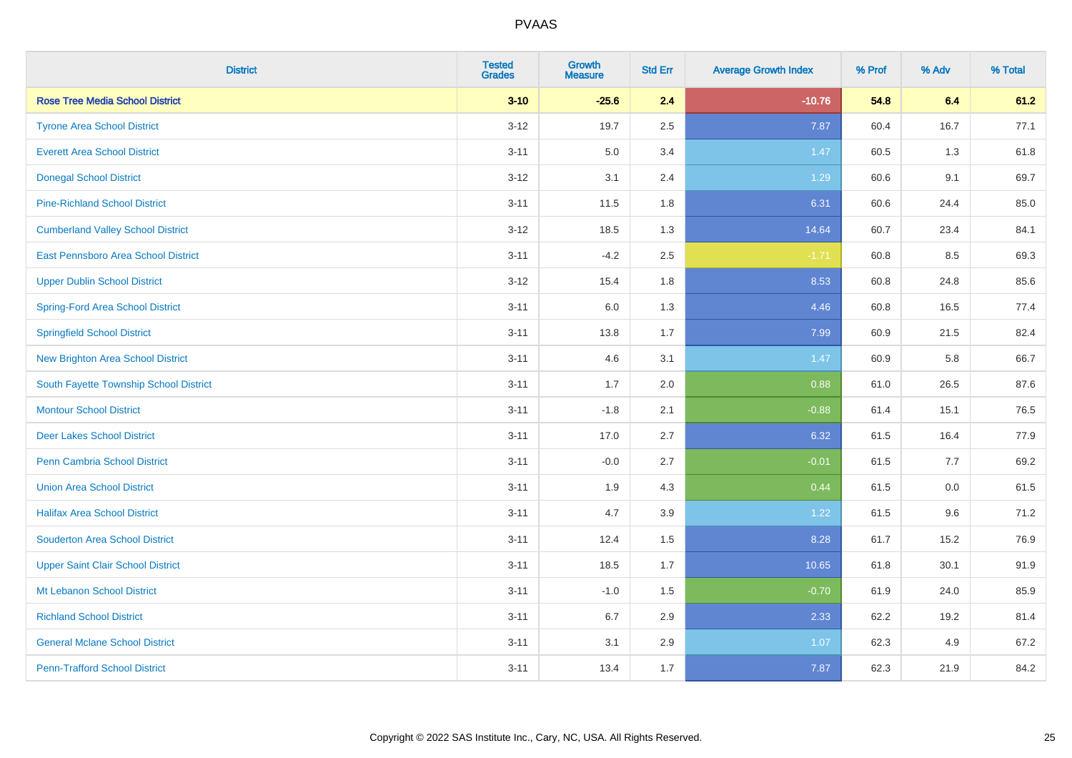| <b>District</b>                          | <b>Tested</b><br><b>Grades</b> | Growth<br><b>Measure</b> | <b>Std Err</b> | <b>Average Growth Index</b> | % Prof | % Adv | % Total |
|------------------------------------------|--------------------------------|--------------------------|----------------|-----------------------------|--------|-------|---------|
| <b>Rose Tree Media School District</b>   | $3 - 10$                       | $-25.6$                  | 2.4            | $-10.76$                    | 54.8   | 6.4   | 61.2    |
| <b>Tyrone Area School District</b>       | $3 - 12$                       | 19.7                     | 2.5            | 7.87                        | 60.4   | 16.7  | 77.1    |
| <b>Everett Area School District</b>      | $3 - 11$                       | 5.0                      | 3.4            | 1.47                        | 60.5   | 1.3   | 61.8    |
| <b>Donegal School District</b>           | $3 - 12$                       | 3.1                      | 2.4            | 1.29                        | 60.6   | 9.1   | 69.7    |
| <b>Pine-Richland School District</b>     | $3 - 11$                       | 11.5                     | 1.8            | 6.31                        | 60.6   | 24.4  | 85.0    |
| <b>Cumberland Valley School District</b> | $3 - 12$                       | 18.5                     | 1.3            | 14.64                       | 60.7   | 23.4  | 84.1    |
| East Pennsboro Area School District      | $3 - 11$                       | $-4.2$                   | 2.5            | $-1.71$                     | 60.8   | 8.5   | 69.3    |
| <b>Upper Dublin School District</b>      | $3 - 12$                       | 15.4                     | 1.8            | 8.53                        | 60.8   | 24.8  | 85.6    |
| <b>Spring-Ford Area School District</b>  | $3 - 11$                       | 6.0                      | 1.3            | 4.46                        | 60.8   | 16.5  | 77.4    |
| <b>Springfield School District</b>       | $3 - 11$                       | 13.8                     | 1.7            | 7.99                        | 60.9   | 21.5  | 82.4    |
| New Brighton Area School District        | $3 - 11$                       | 4.6                      | 3.1            | 1.47                        | 60.9   | 5.8   | 66.7    |
| South Fayette Township School District   | $3 - 11$                       | 1.7                      | 2.0            | 0.88                        | 61.0   | 26.5  | 87.6    |
| <b>Montour School District</b>           | $3 - 11$                       | $-1.8$                   | 2.1            | $-0.88$                     | 61.4   | 15.1  | 76.5    |
| <b>Deer Lakes School District</b>        | $3 - 11$                       | 17.0                     | 2.7            | 6.32                        | 61.5   | 16.4  | 77.9    |
| Penn Cambria School District             | $3 - 11$                       | $-0.0$                   | 2.7            | $-0.01$                     | 61.5   | 7.7   | 69.2    |
| <b>Union Area School District</b>        | $3 - 11$                       | 1.9                      | 4.3            | 0.44                        | 61.5   | 0.0   | 61.5    |
| <b>Halifax Area School District</b>      | $3 - 11$                       | 4.7                      | 3.9            | 1.22                        | 61.5   | 9.6   | 71.2    |
| <b>Souderton Area School District</b>    | $3 - 11$                       | 12.4                     | 1.5            | 8.28                        | 61.7   | 15.2  | 76.9    |
| <b>Upper Saint Clair School District</b> | $3 - 11$                       | 18.5                     | 1.7            | 10.65                       | 61.8   | 30.1  | 91.9    |
| Mt Lebanon School District               | $3 - 11$                       | $-1.0$                   | 1.5            | $-0.70$                     | 61.9   | 24.0  | 85.9    |
| <b>Richland School District</b>          | $3 - 11$                       | 6.7                      | 2.9            | 2.33                        | 62.2   | 19.2  | 81.4    |
| <b>General Mclane School District</b>    | $3 - 11$                       | 3.1                      | 2.9            | 1.07                        | 62.3   | 4.9   | 67.2    |
| <b>Penn-Trafford School District</b>     | $3 - 11$                       | 13.4                     | 1.7            | 7.87                        | 62.3   | 21.9  | 84.2    |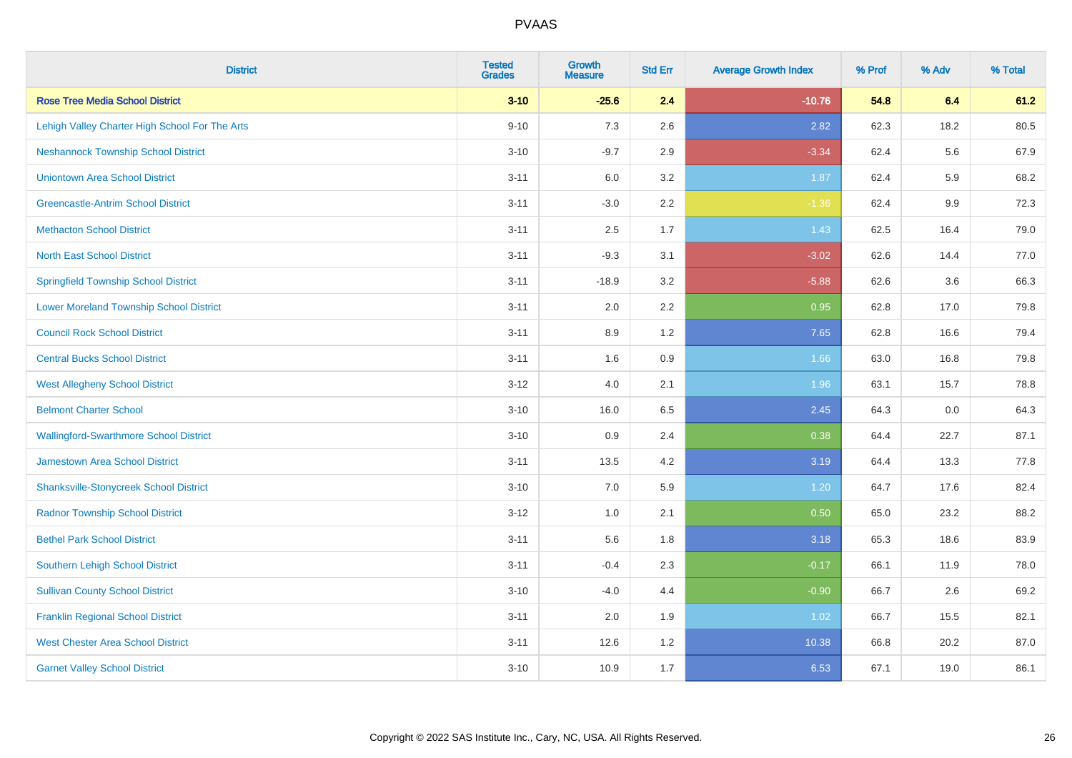| <b>District</b>                                | <b>Tested</b><br><b>Grades</b> | <b>Growth</b><br><b>Measure</b> | <b>Std Err</b> | <b>Average Growth Index</b> | % Prof | % Adv | % Total |
|------------------------------------------------|--------------------------------|---------------------------------|----------------|-----------------------------|--------|-------|---------|
| <b>Rose Tree Media School District</b>         | $3 - 10$                       | $-25.6$                         | 2.4            | $-10.76$                    | 54.8   | 6.4   | 61.2    |
| Lehigh Valley Charter High School For The Arts | $9 - 10$                       | 7.3                             | 2.6            | 2.82                        | 62.3   | 18.2  | 80.5    |
| <b>Neshannock Township School District</b>     | $3 - 10$                       | $-9.7$                          | 2.9            | $-3.34$                     | 62.4   | 5.6   | 67.9    |
| <b>Uniontown Area School District</b>          | $3 - 11$                       | 6.0                             | 3.2            | 1.87                        | 62.4   | 5.9   | 68.2    |
| <b>Greencastle-Antrim School District</b>      | $3 - 11$                       | $-3.0$                          | 2.2            | $-1.36$                     | 62.4   | 9.9   | 72.3    |
| <b>Methacton School District</b>               | $3 - 11$                       | 2.5                             | 1.7            | 1.43                        | 62.5   | 16.4  | 79.0    |
| <b>North East School District</b>              | $3 - 11$                       | $-9.3$                          | 3.1            | $-3.02$                     | 62.6   | 14.4  | 77.0    |
| <b>Springfield Township School District</b>    | $3 - 11$                       | $-18.9$                         | 3.2            | $-5.88$                     | 62.6   | 3.6   | 66.3    |
| <b>Lower Moreland Township School District</b> | $3 - 11$                       | 2.0                             | 2.2            | 0.95                        | 62.8   | 17.0  | 79.8    |
| <b>Council Rock School District</b>            | $3 - 11$                       | 8.9                             | 1.2            | 7.65                        | 62.8   | 16.6  | 79.4    |
| <b>Central Bucks School District</b>           | $3 - 11$                       | 1.6                             | 0.9            | 1.66                        | 63.0   | 16.8  | 79.8    |
| <b>West Allegheny School District</b>          | $3 - 12$                       | 4.0                             | 2.1            | 1.96                        | 63.1   | 15.7  | 78.8    |
| <b>Belmont Charter School</b>                  | $3 - 10$                       | 16.0                            | 6.5            | 2.45                        | 64.3   | 0.0   | 64.3    |
| <b>Wallingford-Swarthmore School District</b>  | $3 - 10$                       | 0.9                             | 2.4            | 0.38                        | 64.4   | 22.7  | 87.1    |
| <b>Jamestown Area School District</b>          | $3 - 11$                       | 13.5                            | 4.2            | 3.19                        | 64.4   | 13.3  | 77.8    |
| <b>Shanksville-Stonycreek School District</b>  | $3 - 10$                       | 7.0                             | 5.9            | 1.20                        | 64.7   | 17.6  | 82.4    |
| <b>Radnor Township School District</b>         | $3 - 12$                       | 1.0                             | 2.1            | 0.50                        | 65.0   | 23.2  | 88.2    |
| <b>Bethel Park School District</b>             | $3 - 11$                       | 5.6                             | 1.8            | 3.18                        | 65.3   | 18.6  | 83.9    |
| <b>Southern Lehigh School District</b>         | $3 - 11$                       | $-0.4$                          | 2.3            | $-0.17$                     | 66.1   | 11.9  | 78.0    |
| <b>Sullivan County School District</b>         | $3 - 10$                       | $-4.0$                          | 4.4            | $-0.90$                     | 66.7   | 2.6   | 69.2    |
| <b>Franklin Regional School District</b>       | $3 - 11$                       | 2.0                             | 1.9            | 1.02                        | 66.7   | 15.5  | 82.1    |
| <b>West Chester Area School District</b>       | $3 - 11$                       | 12.6                            | 1.2            | 10.38                       | 66.8   | 20.2  | 87.0    |
| <b>Garnet Valley School District</b>           | $3 - 10$                       | 10.9                            | 1.7            | 6.53                        | 67.1   | 19.0  | 86.1    |